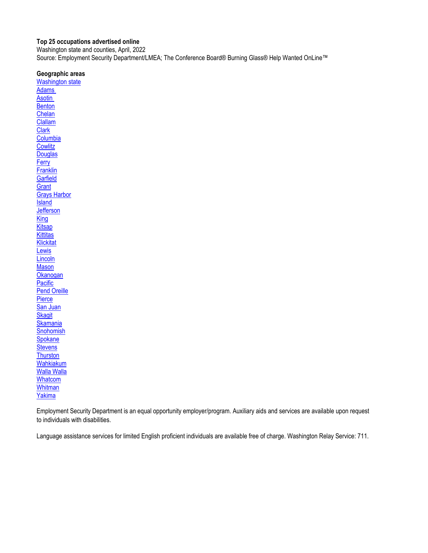### <span id="page-0-0"></span>**Top 25 occupations advertised online**

Washington state and counties, April, 2022

Source: Employment Security Department/LMEA; The Conference Board® Burning Glass® Help Wanted OnLine™

### **Geographic areas**

[Washington state](#page-1-0) [Adams](#page-2-0)  **Asotin [Benton](#page-4-0)** [Chelan](#page-5-0) [Clallam](#page-6-0) **[Clark](#page-7-0) [Columbia](#page-8-0) [Cowlitz](#page-9-0) [Douglas](#page-10-0) [Ferry](#page-11-0) [Franklin](#page-12-0) [Garfield](#page-13-0) [Grant](#page-14-0)** [Grays Harbor](#page-15-0) **[Island](#page-16-0) [Jefferson](#page-17-0) [King](#page-18-0) [Kitsap](#page-19-0) [Kittitas](#page-20-0) [Klickitat](#page-21-0) [Lewis](#page-22-0) [Lincoln](#page-23-0) [Mason](#page-24-0) [Okanogan](#page-25-0) [Pacific](#page-26-0)** [Pend Oreille](#page-27-0) **[Pierce](#page-28-0)** [San Juan](#page-29-0) **[Skagit](#page-30-0) [Skamania](#page-31-0) [Snohomish](#page-32-0) [Spokane](#page-33-0) [Stevens](#page-34-0) [Thurston](#page-35-0)** [Wahkiakum](#page-36-0) [Walla Walla](#page-37-0) **[Whatcom](#page-38-0) [Whitman](#page-39-0)** [Yakima](#page-40-0)

Employment Security Department is an equal opportunity employer/program. Auxiliary aids and services are available upon request to individuals with disabilities.

Language assistance services for limited English proficient individuals are available free of charge. Washington Relay Service: 711.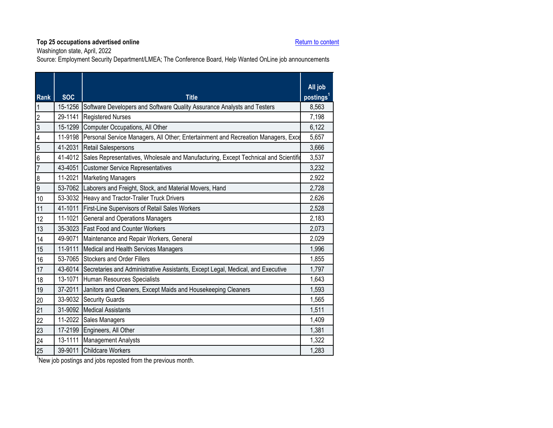Washington state, April, 2022

Source: Employment Security Department/LMEA; The Conference Board, Help Wanted OnLine job announcements

<span id="page-1-0"></span>

| <b>Rank</b>      | <b>SOC</b> | <b>Title</b>                                                                            | All job<br>postings <sup>1</sup> |
|------------------|------------|-----------------------------------------------------------------------------------------|----------------------------------|
| $\overline{1}$   | 15-1256    | Software Developers and Software Quality Assurance Analysts and Testers                 | 8,563                            |
| $\overline{2}$   | 29-1141    | <b>Registered Nurses</b>                                                                | 7,198                            |
| $\overline{3}$   | 15-1299    | Computer Occupations, All Other                                                         | 6,122                            |
| $\overline{4}$   | 11-9198    | Personal Service Managers, All Other; Entertainment and Recreation Managers, Exce       | 5,657                            |
| 5                | 41-2031    | <b>Retail Salespersons</b>                                                              | 3,666                            |
| $6\overline{6}$  | 41-4012    | Sales Representatives, Wholesale and Manufacturing, Except Technical and Scientific     | 3,537                            |
| $\overline{7}$   | 43-4051    | <b>Customer Service Representatives</b>                                                 | 3,232                            |
| $\boldsymbol{8}$ |            | 11-2021 Marketing Managers                                                              | 2,922                            |
| $\overline{9}$   |            | 53-7062 Laborers and Freight, Stock, and Material Movers, Hand                          | 2,728                            |
| 10               |            | 53-3032 Heavy and Tractor-Trailer Truck Drivers                                         | 2,626                            |
| 11               |            | 41-1011 First-Line Supervisors of Retail Sales Workers                                  | 2,528                            |
| 12               | 11-1021    | <b>General and Operations Managers</b>                                                  | 2,183                            |
| 13               |            | 35-3023 Fast Food and Counter Workers                                                   | 2,073                            |
| 14               |            | 49-9071 Maintenance and Repair Workers, General                                         | 2,029                            |
| 15               | 11-9111    | Medical and Health Services Managers                                                    | 1,996                            |
| 16               |            | 53-7065 Stockers and Order Fillers                                                      | 1,855                            |
| 17               |            | 43-6014 Secretaries and Administrative Assistants, Except Legal, Medical, and Executive | 1,797                            |
| 18               |            | 13-1071 Human Resources Specialists                                                     | 1,643                            |
| 19               | 37-2011    | Janitors and Cleaners, Except Maids and Housekeeping Cleaners                           | 1,593                            |
| 20               | 33-9032    | <b>Security Guards</b>                                                                  | 1,565                            |
| 21               |            | 31-9092 Medical Assistants                                                              | 1,511                            |
| 22               |            | 11-2022 Sales Managers                                                                  | 1,409                            |
| 23               |            | 17-2199 Engineers, All Other                                                            | 1,381                            |
| 24               | 13-1111    | <b>Management Analysts</b>                                                              | 1,322                            |
| 25               | 39-9011    | <b>Childcare Workers</b>                                                                | 1,283                            |
|                  |            |                                                                                         |                                  |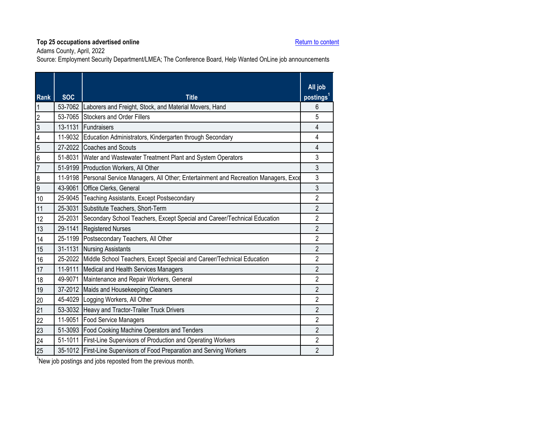Adams County, April, 2022

Source: Employment Security Department/LMEA; The Conference Board, Help Wanted OnLine job announcements

<span id="page-2-0"></span>

| <b>Rank</b>             | <b>SOC</b> | <b>Title</b>                                                                              | All job<br>postings <sup>1</sup> |
|-------------------------|------------|-------------------------------------------------------------------------------------------|----------------------------------|
| $\mathbf{1}$            |            | 53-7062 Laborers and Freight, Stock, and Material Movers, Hand                            | 6                                |
| $\overline{c}$          | 53-7065    | Stockers and Order Fillers                                                                | 5                                |
| $\overline{3}$          |            | 13-1131 Fundraisers                                                                       | $\overline{4}$                   |
| $\overline{\mathbf{4}}$ | 11-9032    | Education Administrators, Kindergarten through Secondary                                  | 4                                |
| $\overline{5}$          |            | 27-2022 Coaches and Scouts                                                                | $\overline{4}$                   |
| $6\phantom{a}$          | 51-8031    | Water and Wastewater Treatment Plant and System Operators                                 | 3                                |
| $\overline{7}$          |            | 51-9199 Production Workers, All Other                                                     | 3                                |
| $\bf 8$                 |            | 11-9198 Personal Service Managers, All Other; Entertainment and Recreation Managers, Exce | 3                                |
| $\overline{9}$          |            | 43-9061 Office Clerks, General                                                            | 3                                |
| 10                      | 25-9045    | <b>Teaching Assistants, Except Postsecondary</b>                                          | $\overline{2}$                   |
| 11                      |            | 25-3031 Substitute Teachers, Short-Term                                                   | $\overline{2}$                   |
| 12                      | 25-2031    | Secondary School Teachers, Except Special and Career/Technical Education                  | $\overline{2}$                   |
| 13                      |            | 29-1141 Registered Nurses                                                                 | 2                                |
| 14                      |            | 25-1199 Postsecondary Teachers, All Other                                                 | $\overline{2}$                   |
| 15                      | 31-1131    | <b>Nursing Assistants</b>                                                                 | $\overline{2}$                   |
| 16                      | 25-2022    | Middle School Teachers, Except Special and Career/Technical Education                     | $\overline{2}$                   |
| 17                      |            | 11-9111 Medical and Health Services Managers                                              | $\overline{2}$                   |
| 18                      | 49-9071    | Maintenance and Repair Workers, General                                                   | $\overline{2}$                   |
| 19                      |            | 37-2012 Maids and Housekeeping Cleaners                                                   | $\overline{2}$                   |
| 20                      |            | 45-4029 Logging Workers, All Other                                                        | $\overline{2}$                   |
| 21                      | 53-3032    | Heavy and Tractor-Trailer Truck Drivers                                                   | $\overline{2}$                   |
| 22                      | 11-9051    | <b>Food Service Managers</b>                                                              | $\overline{2}$                   |
| 23                      |            | 51-3093 Food Cooking Machine Operators and Tenders                                        | $\overline{2}$                   |
| 24                      | 51-1011    | First-Line Supervisors of Production and Operating Workers                                | $\overline{2}$                   |
| 25                      |            | 35-1012 First-Line Supervisors of Food Preparation and Serving Workers                    | $\overline{2}$                   |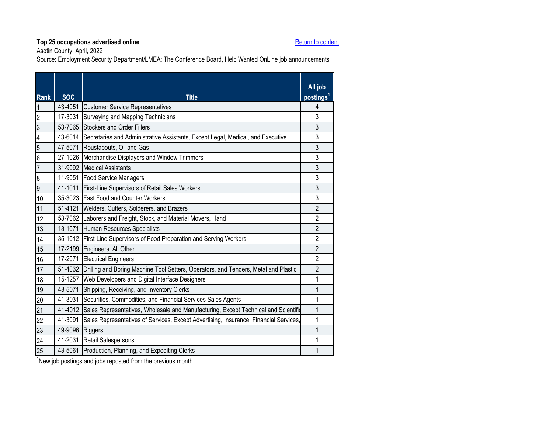Asotin County, April, 2022

Source: Employment Security Department/LMEA; The Conference Board, Help Wanted OnLine job announcements

<span id="page-3-0"></span>

| <b>Rank</b>             | <b>SOC</b>      | <b>Title</b>                                                                                | All job<br>postings <sup>1</sup> |
|-------------------------|-----------------|---------------------------------------------------------------------------------------------|----------------------------------|
| $\overline{1}$          |                 | 43-4051 Customer Service Representatives                                                    | 4                                |
| $\overline{2}$          | 17-3031         | Surveying and Mapping Technicians                                                           | 3                                |
| $\overline{3}$          |                 | 53-7065 Stockers and Order Fillers                                                          | 3                                |
| $\overline{\mathbf{4}}$ |                 | 43-6014 Secretaries and Administrative Assistants, Except Legal, Medical, and Executive     | 3                                |
| $\overline{5}$          | 47-5071         | Roustabouts, Oil and Gas                                                                    | 3                                |
| $\overline{6}$          |                 | 27-1026 Merchandise Displayers and Window Trimmers                                          | 3                                |
| $\overline{7}$          |                 | 31-9092 Medical Assistants                                                                  | $\overline{3}$                   |
| $\overline{8}$          |                 | 11-9051 Food Service Managers                                                               | 3                                |
| 6                       |                 | 41-1011 First-Line Supervisors of Retail Sales Workers                                      | 3                                |
| 10                      |                 | 35-3023 Fast Food and Counter Workers                                                       | 3                                |
| 11                      | 51-4121         | Welders, Cutters, Solderers, and Brazers                                                    | $\overline{2}$                   |
| 12                      |                 | 53-7062 Laborers and Freight, Stock, and Material Movers, Hand                              | $\overline{2}$                   |
| 13                      |                 | 13-1071 Human Resources Specialists                                                         | $\overline{2}$                   |
| 14                      |                 | 35-1012 First-Line Supervisors of Food Preparation and Serving Workers                      | $\overline{2}$                   |
| 15                      |                 | 17-2199 Engineers, All Other                                                                | $\overline{2}$                   |
| 16                      |                 | 17-2071 Electrical Engineers                                                                | $\overline{2}$                   |
| 17                      |                 | 51-4032 Drilling and Boring Machine Tool Setters, Operators, and Tenders, Metal and Plastic | $\overline{2}$                   |
| 18                      | 15-1257         | Web Developers and Digital Interface Designers                                              | 1                                |
| 19                      | 43-5071         | Shipping, Receiving, and Inventory Clerks                                                   | 1                                |
| 20                      |                 | 41-3031 Securities, Commodities, and Financial Services Sales Agents                        | 1                                |
| 21                      |                 | 41-4012 Sales Representatives, Wholesale and Manufacturing, Except Technical and Scientific | 1                                |
| 22                      | 41-3091         | Sales Representatives of Services, Except Advertising, Insurance, Financial Services,       | 1                                |
| 23                      | 49-9096 Riggers |                                                                                             | 1                                |
| 24                      |                 | 41-2031 Retail Salespersons                                                                 |                                  |
| 25                      |                 | 43-5061 Production, Planning, and Expediting Clerks                                         |                                  |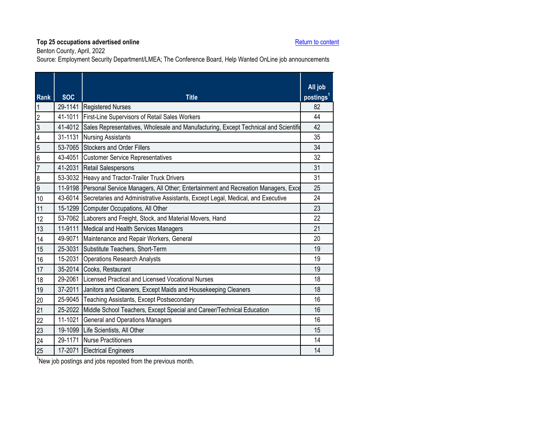Benton County, April, 2022

Source: Employment Security Department/LMEA; The Conference Board, Help Wanted OnLine job announcements

<span id="page-4-0"></span>

| <b>Rank</b>             | <b>SOC</b> | <b>Title</b>                                                                              | All job<br>postings <sup>1</sup> |
|-------------------------|------------|-------------------------------------------------------------------------------------------|----------------------------------|
| $\overline{\mathbf{1}}$ |            | 29-1141 Registered Nurses                                                                 | 82                               |
| $\overline{2}$          |            | 41-1011 First-Line Supervisors of Retail Sales Workers                                    | 44                               |
| $\overline{3}$          | 41-4012    | Sales Representatives, Wholesale and Manufacturing, Except Technical and Scientific       | 42                               |
| $\overline{4}$          |            | 31-1131 Nursing Assistants                                                                | 35                               |
| 5                       |            | 53-7065 Stockers and Order Fillers                                                        | 34                               |
| $6\overline{6}$         |            | 43-4051 Customer Service Representatives                                                  | 32                               |
| $\overline{7}$          |            | 41-2031 Retail Salespersons                                                               | 31                               |
| $\boldsymbol{8}$        |            | 53-3032 Heavy and Tractor-Trailer Truck Drivers                                           | 31                               |
| $\overline{9}$          |            | 11-9198 Personal Service Managers, All Other; Entertainment and Recreation Managers, Exce | 25                               |
| 10                      |            | 43-6014 Secretaries and Administrative Assistants, Except Legal, Medical, and Executive   | 24                               |
| 11                      |            | 15-1299 Computer Occupations, All Other                                                   | 23                               |
| 12                      |            | 53-7062 Laborers and Freight, Stock, and Material Movers, Hand                            | 22                               |
| 13                      | 11-9111    | Medical and Health Services Managers                                                      | 21                               |
| 14                      |            | 49-9071 Maintenance and Repair Workers, General                                           | 20                               |
| 15                      |            | 25-3031 Substitute Teachers, Short-Term                                                   | 19                               |
| 16                      |            | 15-2031 Operations Research Analysts                                                      | 19                               |
| 17                      |            | 35-2014 Cooks, Restaurant                                                                 | 19                               |
| 18                      |            | 29-2061 I Licensed Practical and Licensed Vocational Nurses                               | 18                               |
| 19                      |            | 37-2011 Janitors and Cleaners, Except Maids and Housekeeping Cleaners                     | 18                               |
| 20                      |            | 25-9045 Teaching Assistants, Except Postsecondary                                         | 16                               |
| 21                      |            | 25-2022 Middle School Teachers, Except Special and Career/Technical Education             | 16                               |
| 22                      | 11-1021    | <b>General and Operations Managers</b>                                                    | 16                               |
| 23                      |            | 19-1099 Life Scientists, All Other                                                        | 15                               |
| 24                      |            | 29-1171 Nurse Practitioners                                                               | 14                               |
| 25                      |            | 17-2071 Electrical Engineers                                                              | 14                               |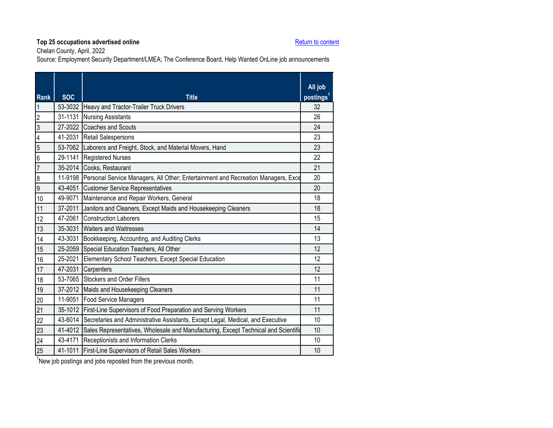Chelan County, April, 2022

Source: Employment Security Department/LMEA; The Conference Board, Help Wanted OnLine job announcements

<span id="page-5-0"></span>

| Rank             | <b>SOC</b> | <b>Title</b>                                                                                | All job<br>postings <sup>1</sup> |
|------------------|------------|---------------------------------------------------------------------------------------------|----------------------------------|
| $\overline{1}$   |            | 53-3032 Heavy and Tractor-Trailer Truck Drivers                                             | 32                               |
| $\overline{2}$   | 31-1131    | <b>Nursing Assistants</b>                                                                   | 26                               |
| မ                |            | 27-2022 Coaches and Scouts                                                                  | 24                               |
| $\overline{4}$   |            | 41-2031 Retail Salespersons                                                                 | 23                               |
| $\overline{5}$   |            | 53-7062 Laborers and Freight, Stock, and Material Movers, Hand                              | 23                               |
| $\overline{6}$   |            | 29-1141 Registered Nurses                                                                   | 22                               |
| $\overline{7}$   |            | 35-2014 Cooks, Restaurant                                                                   | 21                               |
| $\boldsymbol{8}$ |            | 11-9198 Personal Service Managers, All Other; Entertainment and Recreation Managers, Exce   | 20                               |
| $\overline{9}$   |            | 43-4051 Customer Service Representatives                                                    | 20                               |
| 10               |            | 49-9071 Maintenance and Repair Workers, General                                             | 18                               |
| 11               |            | 37-2011 Janitors and Cleaners, Except Maids and Housekeeping Cleaners                       | 18                               |
| 12               |            | 47-2061 Construction Laborers                                                               | 15                               |
| 13               |            | 35-3031 Waiters and Waitresses                                                              | 14                               |
| 14               |            | 43-3031 Bookkeeping, Accounting, and Auditing Clerks                                        | 13                               |
| 15               |            | 25-2059 Special Education Teachers, All Other                                               | 12                               |
| 16               |            | 25-2021 Elementary School Teachers, Except Special Education                                | 12                               |
| 17               |            | 47-2031 Carpenters                                                                          | 12                               |
| 18               |            | 53-7065 Stockers and Order Fillers                                                          | 11                               |
| 19               |            | 37-2012 Maids and Housekeeping Cleaners                                                     | 11                               |
| 20               |            | 11-9051 Food Service Managers                                                               | 11                               |
| 21               |            | 35-1012 First-Line Supervisors of Food Preparation and Serving Workers                      | 11                               |
| 22               |            | 43-6014 Secretaries and Administrative Assistants, Except Legal, Medical, and Executive     | 10                               |
| 23               |            | 41-4012 Sales Representatives, Wholesale and Manufacturing, Except Technical and Scientific | 10                               |
| 24               |            | 43-4171 Receptionists and Information Clerks                                                | 10                               |
| 25               |            | 41-1011 First-Line Supervisors of Retail Sales Workers                                      | 10                               |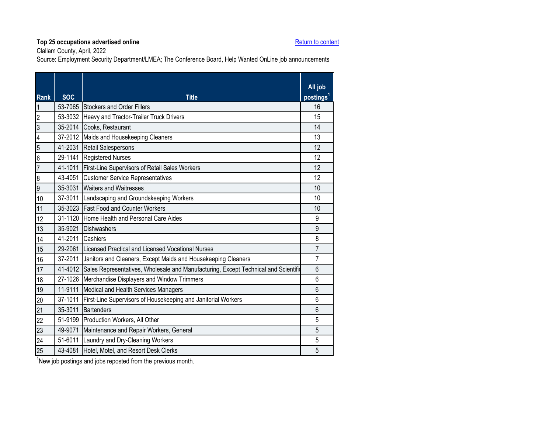Clallam County, April, 2022

Source: Employment Security Department/LMEA; The Conference Board, Help Wanted OnLine job announcements

<span id="page-6-0"></span>

| <b>Rank</b>             | <b>SOC</b>       | <b>Title</b>                                                                                | All job<br>postings <sup>1</sup> |
|-------------------------|------------------|---------------------------------------------------------------------------------------------|----------------------------------|
| 1                       |                  | 53-7065 Stockers and Order Fillers                                                          | 16                               |
| $\overline{c}$          |                  | 53-3032 Heavy and Tractor-Trailer Truck Drivers                                             | 15                               |
| $\overline{3}$          |                  | 35-2014 Cooks, Restaurant                                                                   | 14                               |
| $\overline{\mathbf{4}}$ |                  | 37-2012 Maids and Housekeeping Cleaners                                                     | 13                               |
| $\overline{5}$          | 41-2031          | <b>Retail Salespersons</b>                                                                  | 12                               |
| 6                       |                  | 29-1141 Registered Nurses                                                                   | 12                               |
| $\overline{7}$          | 41-1011          | First-Line Supervisors of Retail Sales Workers                                              | 12                               |
| $\boldsymbol{8}$        |                  | 43-4051 Customer Service Representatives                                                    | 12                               |
| $\overline{9}$          |                  | 35-3031 Waiters and Waitresses                                                              | 10                               |
| 10                      |                  | 37-3011 Landscaping and Groundskeeping Workers                                              | 10                               |
| 11                      |                  | 35-3023 Fast Food and Counter Workers                                                       | 10                               |
| 12                      |                  | 31-1120 Home Health and Personal Care Aides                                                 | 9                                |
| 13                      |                  | 35-9021 Dishwashers                                                                         | 9                                |
| 14                      | 41-2011 Cashiers |                                                                                             | 8                                |
| 15                      |                  | 29-2061 Licensed Practical and Licensed Vocational Nurses                                   | 7                                |
| 16                      |                  | 37-2011 Janitors and Cleaners, Except Maids and Housekeeping Cleaners                       | 7                                |
| 17                      |                  | 41-4012 Sales Representatives, Wholesale and Manufacturing, Except Technical and Scientific | $6\phantom{1}6$                  |
| 18                      |                  | 27-1026 Merchandise Displayers and Window Trimmers                                          | 6                                |
| 19                      | 11-9111          | Medical and Health Services Managers                                                        | $6\phantom{1}6$                  |
| 20                      | 37-1011          | First-Line Supervisors of Housekeeping and Janitorial Workers                               | 6                                |
| 21                      | 35-3011          | Bartenders                                                                                  | $6\phantom{1}$                   |
| 22                      |                  | 51-9199 Production Workers, All Other                                                       | 5                                |
| 23                      | 49-9071          | Maintenance and Repair Workers, General                                                     | 5                                |
| 24                      |                  | 51-6011 Laundry and Dry-Cleaning Workers                                                    | 5                                |
| 25                      |                  | 43-4081 Hotel, Motel, and Resort Desk Clerks                                                | 5                                |
|                         |                  |                                                                                             |                                  |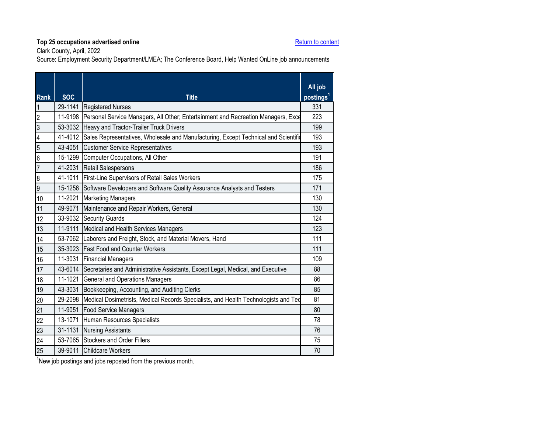Clark County, April, 2022

Source: Employment Security Department/LMEA; The Conference Board, Help Wanted OnLine job announcements

<span id="page-7-0"></span>

| <b>Rank</b>      | <b>SOC</b>  | <b>Title</b>                                                                                | All job<br>postings <sup>1</sup> |
|------------------|-------------|---------------------------------------------------------------------------------------------|----------------------------------|
| $\mathbf{1}$     |             | 29-1141 Registered Nurses                                                                   | 331                              |
| $\overline{2}$   | 11-9198     | Personal Service Managers, All Other; Entertainment and Recreation Managers, Exce           | 223                              |
| ပြ               |             | 53-3032 Heavy and Tractor-Trailer Truck Drivers                                             | 199                              |
| $\overline{4}$   | 41-4012     | Sales Representatives, Wholesale and Manufacturing, Except Technical and Scientific         | 193                              |
| $\overline{5}$   |             | 43-4051 Customer Service Representatives                                                    | 193                              |
| $6\overline{6}$  |             | 15-1299 Computer Occupations, All Other                                                     | 191                              |
| $\overline{7}$   |             | 41-2031 Retail Salespersons                                                                 | 186                              |
| $\boldsymbol{8}$ |             | 41-1011 First-Line Supervisors of Retail Sales Workers                                      | 175                              |
| $\overline{9}$   |             | 15-1256 Software Developers and Software Quality Assurance Analysts and Testers             | 171                              |
| 10               | 11-2021     | <b>Marketing Managers</b>                                                                   | 130                              |
| 11               | 49-9071     | Maintenance and Repair Workers, General                                                     | 130                              |
| 12               |             | 33-9032 Security Guards                                                                     | 124                              |
| 13               | 11-9111     | Medical and Health Services Managers                                                        | 123                              |
| 14               |             | 53-7062 Laborers and Freight, Stock, and Material Movers, Hand                              | 111                              |
| 15               |             | 35-3023 Fast Food and Counter Workers                                                       | 111                              |
| 16               |             | 11-3031 Financial Managers                                                                  | 109                              |
| 17               |             | 43-6014 Secretaries and Administrative Assistants, Except Legal, Medical, and Executive     | 88                               |
| 18               | $11 - 1021$ | <b>General and Operations Managers</b>                                                      | 86                               |
| 19               | 43-3031     | Bookkeeping, Accounting, and Auditing Clerks                                                | 85                               |
| 20               |             | 29-2098 Medical Dosimetrists, Medical Records Specialists, and Health Technologists and Ted | 81                               |
| 21               | 11-9051     | <b>Food Service Managers</b>                                                                | 80                               |
| $\overline{22}$  | 13-1071     | Human Resources Specialists                                                                 | 78                               |
| 23               | 31-1131     | <b>Nursing Assistants</b>                                                                   | 76                               |
| 24               |             | 53-7065 Stockers and Order Fillers                                                          | 75                               |
| 25               |             | 39-9011 Childcare Workers                                                                   | 70                               |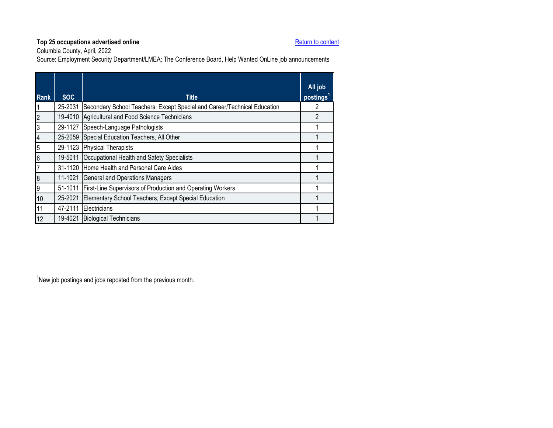Columbia County, April, 2022

Source: Employment Security Department/LMEA; The Conference Board, Help Wanted OnLine job announcements

<span id="page-8-0"></span>

| <b>Rank</b>             | <b>SOC</b> | <b>Title</b>                                                             | All job<br>postings <sup>1</sup> |
|-------------------------|------------|--------------------------------------------------------------------------|----------------------------------|
| $\vert$                 | 25-2031    | Secondary School Teachers, Except Special and Career/Technical Education |                                  |
| $\overline{c}$          | 19-4010    | Agricultural and Food Science Technicians                                | 2                                |
| $\overline{3}$          | 29-1127    | Speech-Language Pathologists                                             |                                  |
| $\overline{\mathbf{4}}$ | 25-2059    | Special Education Teachers, All Other                                    |                                  |
| $\overline{5}$          | 29-1123    | <b>Physical Therapists</b>                                               |                                  |
| $6\overline{6}$         | 19-5011    | Occupational Health and Safety Specialists                               |                                  |
| $\overline{7}$          |            | 31-1120 Home Health and Personal Care Aides                              |                                  |
| $\boldsymbol{8}$        | 11-1021    | <b>General and Operations Managers</b>                                   |                                  |
| 9                       | 51-1011    | First-Line Supervisors of Production and Operating Workers               |                                  |
| 10                      | 25-2021    | Elementary School Teachers, Except Special Education                     |                                  |
| 11                      | 47-2111    | Electricians                                                             |                                  |
| 12                      | 19-4021    | <b>Biological Technicians</b>                                            |                                  |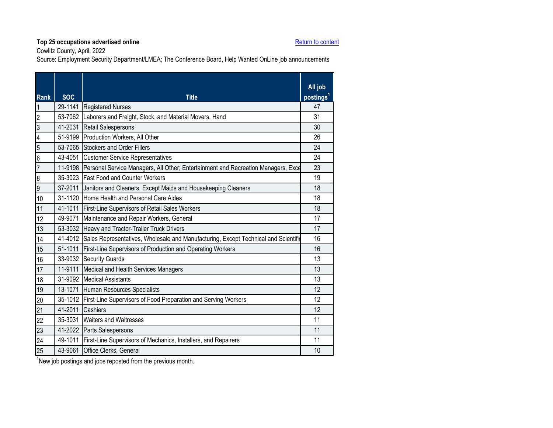Cowlitz County, April, 2022

Source: Employment Security Department/LMEA; The Conference Board, Help Wanted OnLine job announcements

<span id="page-9-0"></span>

| <b>Rank</b>      | <b>SOC</b> | <b>Title</b>                                                                                | All job<br>postings <sup>1</sup> |
|------------------|------------|---------------------------------------------------------------------------------------------|----------------------------------|
| $\mathbf{1}$     |            | 29-1141 Registered Nurses                                                                   | 47                               |
| $\overline{2}$   |            | 53-7062 Laborers and Freight, Stock, and Material Movers, Hand                              | 31                               |
| ပြ               | 41-2031    | Retail Salespersons                                                                         | 30                               |
| $\overline{4}$   |            | 51-9199 Production Workers, All Other                                                       | 26                               |
| $\overline{5}$   |            | 53-7065 Stockers and Order Fillers                                                          | 24                               |
| $6\overline{6}$  |            | 43-4051 Customer Service Representatives                                                    | 24                               |
| $\overline{7}$   |            | 11-9198 Personal Service Managers, All Other; Entertainment and Recreation Managers, Exce   | 23                               |
| $\boldsymbol{8}$ |            | 35-3023 Fast Food and Counter Workers                                                       | 19                               |
| $\overline{9}$   |            | 37-2011 Janitors and Cleaners, Except Maids and Housekeeping Cleaners                       | 18                               |
| 10               |            | 31-1120 Home Health and Personal Care Aides                                                 | 18                               |
| 11               |            | 41-1011 First-Line Supervisors of Retail Sales Workers                                      | 18                               |
| 12               | 49-9071    | Maintenance and Repair Workers, General                                                     | 17                               |
| 13               |            | 53-3032 Heavy and Tractor-Trailer Truck Drivers                                             | 17                               |
| 14               |            | 41-4012 Sales Representatives, Wholesale and Manufacturing, Except Technical and Scientific | 16                               |
| 15               |            | 51-1011 First-Line Supervisors of Production and Operating Workers                          | 16                               |
| 16               |            | 33-9032 Security Guards                                                                     | 13                               |
| 17               | 11-9111    | Medical and Health Services Managers                                                        | 13                               |
| 18               |            | 31-9092 Medical Assistants                                                                  | 13                               |
| 19               |            | 13-1071 Human Resources Specialists                                                         | 12                               |
| 20               |            | 35-1012 First-Line Supervisors of Food Preparation and Serving Workers                      | 12                               |
| 21               | 41-2011    | Cashiers                                                                                    | 12                               |
| 22               |            | 35-3031 Waiters and Waitresses                                                              | 11                               |
| 23               |            | 41-2022 Parts Salespersons                                                                  | 11                               |
| 24               |            | 49-1011 First-Line Supervisors of Mechanics, Installers, and Repairers                      | 11                               |
| 25               | 43-9061    | Office Clerks, General                                                                      | 10                               |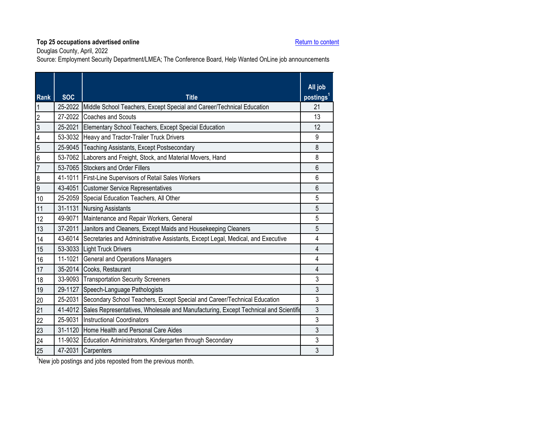Douglas County, April, 2022

Source: Employment Security Department/LMEA; The Conference Board, Help Wanted OnLine job announcements

<span id="page-10-0"></span>

| <b>Rank</b>     | <b>SOC</b> | <b>Title</b>                                                                                | All job<br>postings <sup>1</sup> |
|-----------------|------------|---------------------------------------------------------------------------------------------|----------------------------------|
| $\overline{1}$  |            | 25-2022 Middle School Teachers, Except Special and Career/Technical Education               | 21                               |
| $\overline{2}$  |            | 27-2022 Coaches and Scouts                                                                  | 13                               |
| $\overline{3}$  | 25-2021    | Elementary School Teachers, Except Special Education                                        | 12                               |
| $\overline{4}$  |            | 53-3032 Heavy and Tractor-Trailer Truck Drivers                                             | 9                                |
| $\overline{5}$  | 25-9045    | <b>Teaching Assistants, Except Postsecondary</b>                                            | 8                                |
| $6\overline{6}$ | 53-7062    | Laborers and Freight, Stock, and Material Movers, Hand                                      | 8                                |
| $\overline{7}$  |            | 53-7065 Stockers and Order Fillers                                                          | 6                                |
| $\overline{8}$  |            | 41-1011 First-Line Supervisors of Retail Sales Workers                                      | 6                                |
| $\overline{9}$  |            | 43-4051 Customer Service Representatives                                                    | $6\phantom{1}6$                  |
| 10              |            | 25-2059 Special Education Teachers, All Other                                               | 5                                |
| 11              |            | 31-1131 Nursing Assistants                                                                  | 5                                |
| 12              |            | 49-9071 Maintenance and Repair Workers, General                                             | 5                                |
| 13              |            | 37-2011 Janitors and Cleaners, Except Maids and Housekeeping Cleaners                       | 5                                |
| 14              |            | 43-6014 Secretaries and Administrative Assistants, Except Legal, Medical, and Executive     | 4                                |
| 15              |            | 53-3033 Light Truck Drivers                                                                 | $\overline{4}$                   |
| 16              |            | 11-1021 General and Operations Managers                                                     | 4                                |
| 17              |            | 35-2014 Cooks, Restaurant                                                                   | 4                                |
| 18              | 33-9093    | <b>Transportation Security Screeners</b>                                                    | 3                                |
| 19              |            | 29-1127 Speech-Language Pathologists                                                        | 3                                |
| 20              | 25-2031    | Secondary School Teachers, Except Special and Career/Technical Education                    | 3                                |
| 21              |            | 41-4012 Sales Representatives, Wholesale and Manufacturing, Except Technical and Scientific | 3                                |
| 22              |            | 25-9031 Instructional Coordinators                                                          | 3                                |
| 23              | 31-1120    | <b>Home Health and Personal Care Aides</b>                                                  | 3                                |
| 24              |            | 11-9032 Education Administrators, Kindergarten through Secondary                            | 3                                |
| 25              | 47-2031    | Carpenters                                                                                  | 3                                |
|                 |            |                                                                                             |                                  |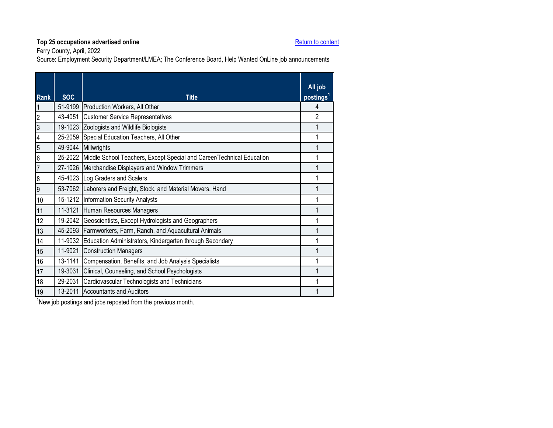Ferry County, April, 2022

Source: Employment Security Department/LMEA; The Conference Board, Help Wanted OnLine job announcements

<span id="page-11-0"></span>

|                          |            |                                                                       | All job               |
|--------------------------|------------|-----------------------------------------------------------------------|-----------------------|
| <b>Rank</b>              | <b>SOC</b> | <b>Title</b>                                                          | postings <sup>1</sup> |
|                          | 51-9199    | Production Workers, All Other                                         | 4                     |
| $\overline{2}$           | 43-4051    | <b>Customer Service Representatives</b>                               | $\overline{2}$        |
| $\overline{3}$           |            | 19-1023 Zoologists and Wildlife Biologists                            | 1                     |
| $\overline{\mathcal{L}}$ |            | 25-2059 Special Education Teachers, All Other                         | 1                     |
| $\overline{5}$           | 49-9044    | Millwrights                                                           | 1                     |
| $6\overline{6}$          | 25-2022    | Middle School Teachers, Except Special and Career/Technical Education | 1                     |
| $\overline{7}$           |            | 27-1026 Merchandise Displayers and Window Trimmers                    | 1                     |
| $\boldsymbol{8}$         |            | 45-4023 Log Graders and Scalers                                       | 1                     |
| $\overline{9}$           |            | 53-7062 Laborers and Freight, Stock, and Material Movers, Hand        | 1                     |
| 10                       |            | 15-1212 Information Security Analysts                                 | 1                     |
| 11                       | 11-3121    | Human Resources Managers                                              | 1                     |
| 12                       |            | 19-2042 Geoscientists, Except Hydrologists and Geographers            | 1                     |
| 13                       |            | 45-2093 Farmworkers, Farm, Ranch, and Aquacultural Animals            | 1                     |
| 14                       | 11-9032    | Education Administrators, Kindergarten through Secondary              | 1                     |
| 15                       | 11-9021    | <b>Construction Managers</b>                                          | 1                     |
| 16                       | 13-1141    | Compensation, Benefits, and Job Analysis Specialists                  | 1                     |
| 17                       | 19-3031    | Clinical, Counseling, and School Psychologists                        | 1                     |
| 18                       | 29-2031    | Cardiovascular Technologists and Technicians                          | 1                     |
| 19                       | 13-2011    | <b>Accountants and Auditors</b>                                       |                       |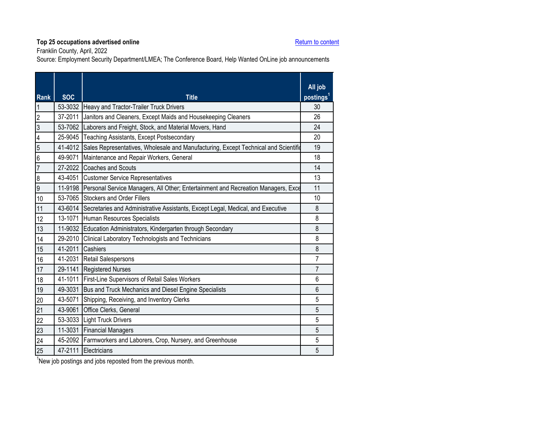Franklin County, April, 2022

Source: Employment Security Department/LMEA; The Conference Board, Help Wanted OnLine job announcements

<span id="page-12-0"></span>

| <b>SOC</b><br><b>Title</b><br><b>Rank</b>                                                                     | All job<br>postings <sup>1</sup> |
|---------------------------------------------------------------------------------------------------------------|----------------------------------|
| 53-3032 Heavy and Tractor-Trailer Truck Drivers<br>$\overline{\mathbf{1}}$                                    | 30                               |
| $\overline{2}$<br>37-2011<br>Janitors and Cleaners, Except Maids and Housekeeping Cleaners                    | 26                               |
| $\overline{3}$<br>53-7062 Laborers and Freight, Stock, and Material Movers, Hand                              | 24                               |
| $\overline{\mathcal{L}}$<br>25-9045<br><b>Teaching Assistants, Except Postsecondary</b>                       | 20                               |
| $\overline{5}$<br>41-4012 Sales Representatives, Wholesale and Manufacturing, Except Technical and Scientific | 19                               |
| $\overline{6}$<br>49-9071<br>Maintenance and Repair Workers, General                                          | 18                               |
| $\overline{7}$<br>27-2022 Coaches and Scouts                                                                  | 14                               |
| 43-4051 Customer Service Representatives<br>$\boldsymbol{8}$                                                  | 13                               |
| $\overline{9}$<br>11-9198 Personal Service Managers, All Other; Entertainment and Recreation Managers, Exce   | 11                               |
| 10<br>53-7065 Stockers and Order Fillers                                                                      | 10                               |
| 43-6014 Secretaries and Administrative Assistants, Except Legal, Medical, and Executive<br>11                 | 8                                |
| 13-1071 Human Resources Specialists<br>12                                                                     | 8                                |
| 11-9032 Education Administrators, Kindergarten through Secondary<br>13                                        | 8                                |
| 29-2010 Clinical Laboratory Technologists and Technicians<br>14                                               | 8                                |
| 41-2011 Cashiers<br>15                                                                                        | 8                                |
| 41-2031 Retail Salespersons<br>16                                                                             | 7                                |
| 29-1141 Registered Nurses<br>17                                                                               | 7                                |
| 41-1011 First-Line Supervisors of Retail Sales Workers<br>18                                                  | 6                                |
| 49-3031<br>Bus and Truck Mechanics and Diesel Engine Specialists<br>19                                        | 6                                |
| 43-5071 Shipping, Receiving, and Inventory Clerks<br>20                                                       | 5                                |
| 21<br>43-9061 Office Clerks, General                                                                          | 5                                |
| 22<br>53-3033 Light Truck Drivers                                                                             | 5                                |
| 23<br>11-3031 Financial Managers                                                                              | 5                                |
| 24<br>45-2092 Farmworkers and Laborers, Crop, Nursery, and Greenhouse                                         | 5                                |
| 25<br>47-2111 Electricians                                                                                    | 5                                |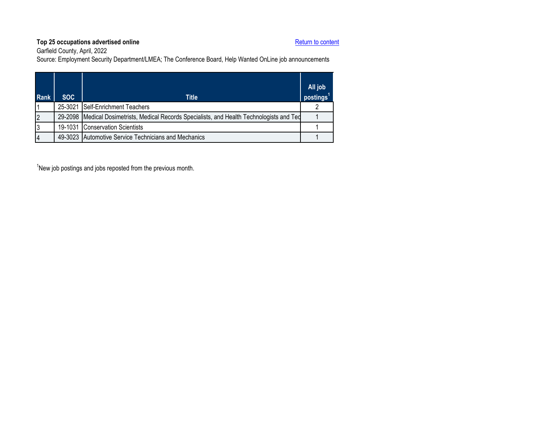Garfield County, April, 2022

Source: Employment Security Department/LMEA; The Conference Board, Help Wanted OnLine job announcements

<span id="page-13-0"></span>

| <b>Rank</b> | SOC. | Title                                                                                       | All job<br>postings <sup>1</sup> |
|-------------|------|---------------------------------------------------------------------------------------------|----------------------------------|
|             |      | 25-3021 Self-Enrichment Teachers                                                            |                                  |
| 2           |      | 29-2098 Medical Dosimetrists, Medical Records Specialists, and Health Technologists and Ted |                                  |
| 3           |      | 19-1031 Conservation Scientists                                                             |                                  |
| 4           |      | 49-3023 Automotive Service Technicians and Mechanics                                        |                                  |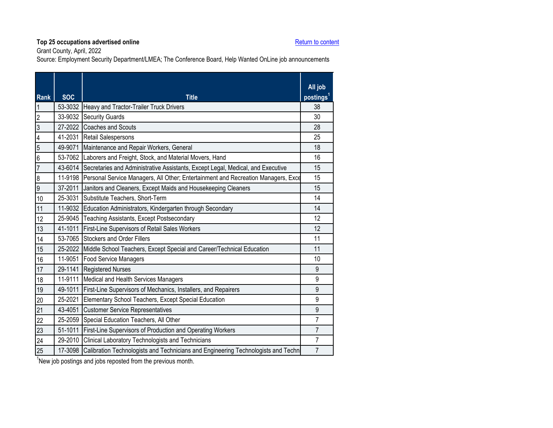Grant County, April, 2022

Source: Employment Security Department/LMEA; The Conference Board, Help Wanted OnLine job announcements

<span id="page-14-0"></span>

| <b>Rank</b>             | <b>SOC</b> | <b>Title</b>                                                                              | All job<br>postings <sup>1</sup> |
|-------------------------|------------|-------------------------------------------------------------------------------------------|----------------------------------|
| $\overline{1}$          |            | 53-3032 Heavy and Tractor-Trailer Truck Drivers                                           | 38                               |
| $\overline{2}$          |            | 33-9032 Security Guards                                                                   | 30                               |
| မ                       |            | 27-2022 Coaches and Scouts                                                                | 28                               |
| $\overline{\mathbf{4}}$ |            | 41-2031 Retail Salespersons                                                               | 25                               |
| $\overline{5}$          | 49-9071    | Maintenance and Repair Workers, General                                                   | 18                               |
| $\overline{6}$          |            | 53-7062 Laborers and Freight, Stock, and Material Movers, Hand                            | 16                               |
| $\overline{7}$          |            | 43-6014 Secretaries and Administrative Assistants, Except Legal, Medical, and Executive   | 15                               |
| $\overline{8}$          |            | 11-9198 Personal Service Managers, All Other; Entertainment and Recreation Managers, Exce | 15                               |
| $\overline{9}$          | 37-2011    | Janitors and Cleaners, Except Maids and Housekeeping Cleaners                             | 15                               |
| 10                      | 25-3031    | Substitute Teachers, Short-Term                                                           | 14                               |
| 11                      |            | 11-9032 Education Administrators, Kindergarten through Secondary                          | 14                               |
| 12                      | 25-9045    | <b>Teaching Assistants, Except Postsecondary</b>                                          | 12                               |
| 13                      |            | 41-1011 First-Line Supervisors of Retail Sales Workers                                    | 12                               |
| 14                      |            | 53-7065 Stockers and Order Fillers                                                        | 11                               |
| 15                      |            | 25-2022 Middle School Teachers, Except Special and Career/Technical Education             | 11                               |
| 16                      |            | 11-9051 Food Service Managers                                                             | 10                               |
| 17                      |            | 29-1141 Registered Nurses                                                                 | 9                                |
| 18                      | 11-9111    | Medical and Health Services Managers                                                      | 9                                |
| 19                      | 49-1011    | First-Line Supervisors of Mechanics, Installers, and Repairers                            | $\overline{9}$                   |
| 20                      | 25-2021    | Elementary School Teachers, Except Special Education                                      | 9                                |
| 21                      |            | 43-4051 Customer Service Representatives                                                  | $\mathsf g$                      |
| 22                      |            | 25-2059 Special Education Teachers, All Other                                             | $\overline{7}$                   |
| 23                      | 51-1011    | First-Line Supervisors of Production and Operating Workers                                | $\overline{7}$                   |
| 24                      | 29-2010    | Clinical Laboratory Technologists and Technicians                                         | $\overline{7}$                   |
| 25                      | 17-3098    | Calibration Technologists and Technicians and Engineering Technologists and Techn         | $\overline{7}$                   |
|                         |            |                                                                                           |                                  |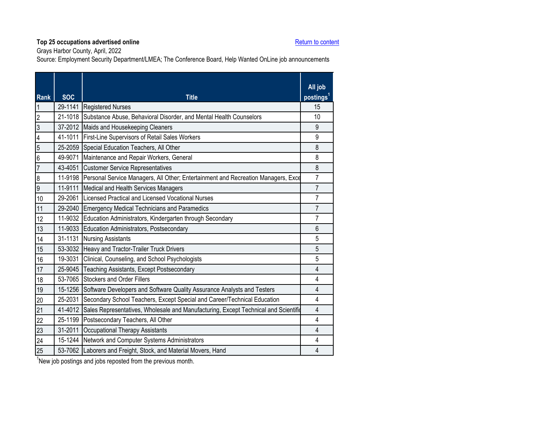Grays Harbor County, April, 2022

Source: Employment Security Department/LMEA; The Conference Board, Help Wanted OnLine job announcements

<span id="page-15-0"></span>

| <b>Rank</b>             | <b>SOC</b> | <b>Title</b>                                                                              | All job<br>postings <sup>1</sup> |
|-------------------------|------------|-------------------------------------------------------------------------------------------|----------------------------------|
| 1                       |            | 29-1141 Registered Nurses                                                                 | 15                               |
| $\overline{2}$          |            | 21-1018 Substance Abuse, Behavioral Disorder, and Mental Health Counselors                | 10                               |
| $\overline{3}$          |            | 37-2012 Maids and Housekeeping Cleaners                                                   | 9                                |
| $\overline{\mathbf{4}}$ | 41-1011    | First-Line Supervisors of Retail Sales Workers                                            | 9                                |
| $\overline{5}$          |            | 25-2059 Special Education Teachers, All Other                                             | 8                                |
| $\overline{6}$          | 49-9071    | Maintenance and Repair Workers, General                                                   | 8                                |
| $\overline{7}$          | 43-4051    | <b>Customer Service Representatives</b>                                                   | 8                                |
| 8                       |            | 11-9198 Personal Service Managers, All Other; Entertainment and Recreation Managers, Exce | $\overline{7}$                   |
| $\overline{9}$          | 11-9111    | Medical and Health Services Managers                                                      | $\overline{7}$                   |
| 10                      | 29-2061    | Licensed Practical and Licensed Vocational Nurses                                         | $\overline{7}$                   |
| 11                      | 29-2040    | Emergency Medical Technicians and Paramedics                                              | $\overline{7}$                   |
| 12                      | 11-9032    | Education Administrators, Kindergarten through Secondary                                  | $\overline{7}$                   |
| 13                      |            | 11-9033 Education Administrators, Postsecondary                                           | 6                                |
| 14                      | 31-1131    | <b>Nursing Assistants</b>                                                                 | 5                                |
| 15                      |            | 53-3032 Heavy and Tractor-Trailer Truck Drivers                                           | 5                                |
| 16                      | 19-3031    | Clinical, Counseling, and School Psychologists                                            | 5                                |
| 17                      | 25-9045    | Teaching Assistants, Except Postsecondary                                                 | $\overline{\mathbf{4}}$          |
| 18                      | 53-7065    | <b>Stockers and Order Fillers</b>                                                         | 4                                |
| 19                      |            | 15-1256 Software Developers and Software Quality Assurance Analysts and Testers           | 4                                |
| 20                      | 25-2031    | Secondary School Teachers, Except Special and Career/Technical Education                  | 4                                |
| 21                      | 41-4012    | Sales Representatives, Wholesale and Manufacturing, Except Technical and Scientific       | $\overline{\mathbf{4}}$          |
| 22                      |            | 25-1199 Postsecondary Teachers, All Other                                                 | 4                                |
| 23                      | 31-2011    | Occupational Therapy Assistants                                                           | 4                                |
| 24                      |            | 15-1244 Network and Computer Systems Administrators                                       | $\overline{4}$                   |
| 25                      |            | 53-7062 Laborers and Freight, Stock, and Material Movers, Hand                            | 4                                |
|                         |            |                                                                                           |                                  |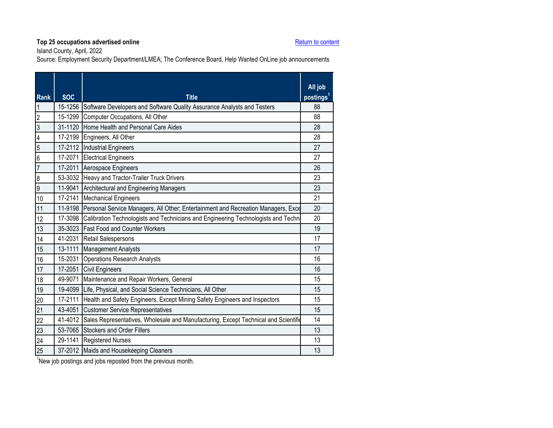Island County, April, 2022

Source: Employment Security Department/LMEA; The Conference Board, Help Wanted OnLine job announcements

<span id="page-16-0"></span>

| <b>Rank</b>      | <b>SOC</b> | <b>Title</b>                                                                        | All job<br>postings <sup>1</sup> |
|------------------|------------|-------------------------------------------------------------------------------------|----------------------------------|
| $\mathbf{1}$     | 15-1256    | Software Developers and Software Quality Assurance Analysts and Testers             | 88                               |
| $\overline{2}$   | 15-1299    | Computer Occupations, All Other                                                     | 88                               |
| $\mathfrak{z}$   | 31-1120    | Home Health and Personal Care Aides                                                 | 28                               |
| $\overline{4}$   | 17-2199    | Engineers, All Other                                                                | 28                               |
| 5                | 17-2112    | <b>Industrial Engineers</b>                                                         | 27                               |
| $6\overline{6}$  | 17-2071    | <b>Electrical Engineers</b>                                                         | 27                               |
| $\overline{7}$   | 17-2011    | Aerospace Engineers                                                                 | 26                               |
| $\boldsymbol{8}$ | 53-3032    | Heavy and Tractor-Trailer Truck Drivers                                             | 23                               |
| $\overline{9}$   | 11-9041    | Architectural and Engineering Managers                                              | 23                               |
| 10               | 17-2141    | <b>Mechanical Engineers</b>                                                         | 21                               |
| 11               | 11-9198    | Personal Service Managers, All Other; Entertainment and Recreation Managers, Exce   | 20                               |
| 12               | 17-3098    | Calibration Technologists and Technicians and Engineering Technologists and Techn   | 20                               |
| 13               | 35-3023    | <b>Fast Food and Counter Workers</b>                                                | 19                               |
| 14               | 41-2031    | <b>Retail Salespersons</b>                                                          | 17                               |
| 15               | 13-1111    | <b>Management Analysts</b>                                                          | 17                               |
| 16               | 15-2031    | <b>Operations Research Analysts</b>                                                 | 16                               |
| 17               | 17-2051    | <b>Civil Engineers</b>                                                              | 16                               |
| 18               | 49-9071    | Maintenance and Repair Workers, General                                             | 15                               |
| 19               | 19-4099    | Life, Physical, and Social Science Technicians, All Other                           | 15                               |
| 20               | 17-2111    | Health and Safety Engineers, Except Mining Safety Engineers and Inspectors          | 15                               |
| 21               | 43-4051    | <b>Customer Service Representatives</b>                                             | 15                               |
| 22               | 41-4012    | Sales Representatives, Wholesale and Manufacturing, Except Technical and Scientific | 14                               |
| 23               | 53-7065    | <b>Stockers and Order Fillers</b>                                                   | 13                               |
| 24               | 29-1141    | <b>Registered Nurses</b>                                                            | 13                               |
| 25               |            | 37-2012 Maids and Housekeeping Cleaners                                             | 13                               |
|                  |            |                                                                                     |                                  |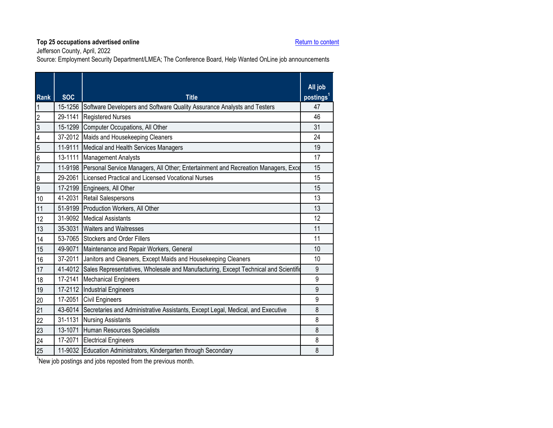Jefferson County, April, 2022

Source: Employment Security Department/LMEA; The Conference Board, Help Wanted OnLine job announcements

<span id="page-17-0"></span>

| <b>Rank</b>      | <b>SOC</b> | <b>Title</b>                                                                                | All job<br>postings <sup>1</sup> |
|------------------|------------|---------------------------------------------------------------------------------------------|----------------------------------|
| $\overline{1}$   | 15-1256    | Software Developers and Software Quality Assurance Analysts and Testers                     | 47                               |
| $\overline{2}$   |            | 29-1141 Registered Nurses                                                                   | 46                               |
| $\overline{3}$   | 15-1299    | Computer Occupations, All Other                                                             | 31                               |
| $\overline{4}$   |            | 37-2012 Maids and Housekeeping Cleaners                                                     | 24                               |
| $\overline{5}$   |            | 11-9111 Medical and Health Services Managers                                                | 19                               |
| $\overline{6}$   | 13-1111    | <b>Management Analysts</b>                                                                  | 17                               |
| $\overline{7}$   |            | 11-9198 Personal Service Managers, All Other; Entertainment and Recreation Managers, Exce   | 15                               |
| $\boldsymbol{8}$ |            | 29-2061 Licensed Practical and Licensed Vocational Nurses                                   | 15                               |
| $\overline{9}$   | 17-2199    | Engineers, All Other                                                                        | 15                               |
| 10               | 41-2031    | <b>Retail Salespersons</b>                                                                  | 13                               |
| 11               |            | 51-9199 Production Workers, All Other                                                       | 13                               |
| 12               |            | 31-9092 Medical Assistants                                                                  | 12                               |
| 13               |            | 35-3031 Waiters and Waitresses                                                              | 11                               |
| 14               |            | 53-7065 Stockers and Order Fillers                                                          | 11                               |
| 15               | 49-9071    | Maintenance and Repair Workers, General                                                     | 10                               |
| 16               |            | 37-2011 Janitors and Cleaners, Except Maids and Housekeeping Cleaners                       | 10                               |
| 17               |            | 41-4012 Sales Representatives, Wholesale and Manufacturing, Except Technical and Scientific | 9                                |
| 18               | 17-2141    | <b>Mechanical Engineers</b>                                                                 | 9                                |
| 19               |            | 17-2112 Industrial Engineers                                                                | 9                                |
| 20               |            | 17-2051 Civil Engineers                                                                     | 9                                |
| 21               | 43-6014    | Secretaries and Administrative Assistants, Except Legal, Medical, and Executive             | 8                                |
| 22               | 31-1131    | <b>Nursing Assistants</b>                                                                   | 8                                |
| 23               |            | 13-1071 Human Resources Specialists                                                         | 8                                |
| 24               |            | 17-2071 Electrical Engineers                                                                | 8                                |
| 25               |            | 11-9032 Education Administrators, Kindergarten through Secondary                            | 8                                |
|                  |            |                                                                                             |                                  |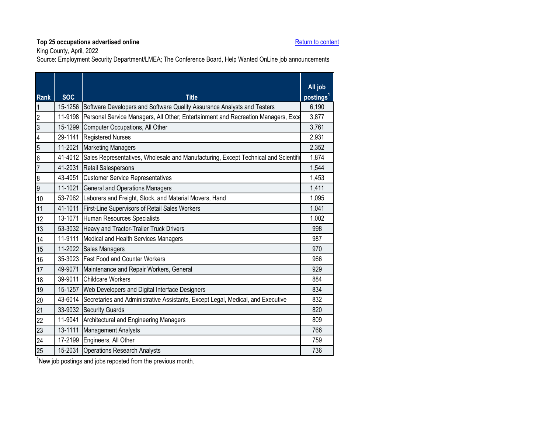King County, April, 2022

Source: Employment Security Department/LMEA; The Conference Board, Help Wanted OnLine job announcements

<span id="page-18-0"></span>

| Rank             | <b>SOC</b> | <b>Title</b>                                                                                | All job<br>postings <sup>1</sup> |
|------------------|------------|---------------------------------------------------------------------------------------------|----------------------------------|
| $\overline{1}$   | 15-1256    | Software Developers and Software Quality Assurance Analysts and Testers                     | 6,190                            |
| $\overline{2}$   | 11-9198    | Personal Service Managers, All Other; Entertainment and Recreation Managers, Exce           | 3,877                            |
| မ                |            | 15-1299 Computer Occupations, All Other                                                     | 3,761                            |
| $\overline{4}$   | 29-1141    | <b>Registered Nurses</b>                                                                    | 2,931                            |
| $\overline{5}$   | 11-2021    | <b>Marketing Managers</b>                                                                   | 2,352                            |
| $\overline{6}$   |            | 41-4012 Sales Representatives, Wholesale and Manufacturing, Except Technical and Scientific | 1,874                            |
| $\overline{7}$   |            | 41-2031 Retail Salespersons                                                                 | 1,544                            |
| $\boldsymbol{8}$ |            | 43-4051 Customer Service Representatives                                                    | 1,453                            |
| $\overline{9}$   |            | 11-1021 General and Operations Managers                                                     | 1,411                            |
| 10               |            | 53-7062 Laborers and Freight, Stock, and Material Movers, Hand                              | 1,095                            |
| 11               |            | 41-1011 First-Line Supervisors of Retail Sales Workers                                      | 1,041                            |
| 12               | 13-1071    | Human Resources Specialists                                                                 | 1,002                            |
| 13               |            | 53-3032 Heavy and Tractor-Trailer Truck Drivers                                             | 998                              |
| 14               |            | 11-9111 Medical and Health Services Managers                                                | 987                              |
| 15               |            | 11-2022 Sales Managers                                                                      | 970                              |
| 16               |            | 35-3023 Fast Food and Counter Workers                                                       | 966                              |
| 17               |            | 49-9071 Maintenance and Repair Workers, General                                             | 929                              |
| 18               |            | 39-9011 Childcare Workers                                                                   | 884                              |
| 19               | 15-1257    | Web Developers and Digital Interface Designers                                              | 834                              |
| 20               | 43-6014    | Secretaries and Administrative Assistants, Except Legal, Medical, and Executive             | 832                              |
| 21               |            | 33-9032 Security Guards                                                                     | 820                              |
| 22               | 11-9041    | Architectural and Engineering Managers                                                      | 809                              |
| 23               | 13-1111    | <b>Management Analysts</b>                                                                  | 766                              |
| 24               |            | 17-2199 Engineers, All Other                                                                | 759                              |
| 25               |            | 15-2031 Operations Research Analysts                                                        | 736                              |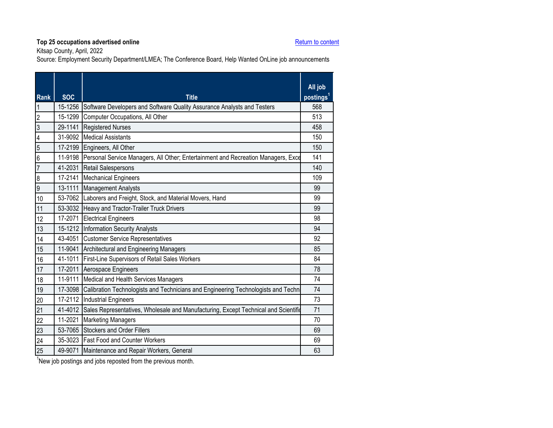Kitsap County, April, 2022

Source: Employment Security Department/LMEA; The Conference Board, Help Wanted OnLine job announcements

<span id="page-19-0"></span>

| Rank                    | <b>SOC</b> | <b>Title</b>                                                                              | All job<br>postings <sup>1</sup> |
|-------------------------|------------|-------------------------------------------------------------------------------------------|----------------------------------|
| $\overline{1}$          | 15-1256    | Software Developers and Software Quality Assurance Analysts and Testers                   | 568                              |
| $\overline{2}$          | 15-1299    | Computer Occupations, All Other                                                           | 513                              |
| $\overline{3}$          | 29-1141    | <b>Registered Nurses</b>                                                                  | 458                              |
| $\overline{\mathbf{4}}$ |            | 31-9092 Medical Assistants                                                                | 150                              |
| $\overline{5}$          | 17-2199    | Engineers, All Other                                                                      | 150                              |
| $\overline{6}$          | 11-9198    | Personal Service Managers, All Other; Entertainment and Recreation Managers, Exce         | 141                              |
| $\overline{7}$          | 41-2031    | <b>Retail Salespersons</b>                                                                | 140                              |
| $\overline{8}$          |            | 17-2141 Mechanical Engineers                                                              | 109                              |
| 6                       | 13-1111    | <b>Management Analysts</b>                                                                | 99                               |
| 10                      |            | 53-7062 Laborers and Freight, Stock, and Material Movers, Hand                            | 99                               |
| 11                      |            | 53-3032 Heavy and Tractor-Trailer Truck Drivers                                           | 99                               |
| 12                      | 17-2071    | <b>Electrical Engineers</b>                                                               | 98                               |
| 13                      |            | 15-1212 Information Security Analysts                                                     | 94                               |
| 14                      |            | 43-4051 Customer Service Representatives                                                  | 92                               |
| 15                      | 11-9041    | Architectural and Engineering Managers                                                    | 85                               |
| 16                      |            | 41-1011 First-Line Supervisors of Retail Sales Workers                                    | 84                               |
| 17                      |            | 17-2011 Aerospace Engineers                                                               | 78                               |
| 18                      | 11-9111    | Medical and Health Services Managers                                                      | 74                               |
| 19                      |            | 17-3098 Calibration Technologists and Technicians and Engineering Technologists and Techn | 74                               |
| 20                      |            | 17-2112   Industrial Engineers                                                            | 73                               |
| 21                      | 41-4012    | Sales Representatives, Wholesale and Manufacturing, Except Technical and Scientific       | 71                               |
| 22                      | 11-2021    | <b>Marketing Managers</b>                                                                 | 70                               |
| 23                      |            | 53-7065 Stockers and Order Fillers                                                        | 69                               |
| 24                      |            | 35-3023 Fast Food and Counter Workers                                                     | 69                               |
| 25                      |            | 49-9071 Maintenance and Repair Workers, General                                           | 63                               |
|                         |            |                                                                                           |                                  |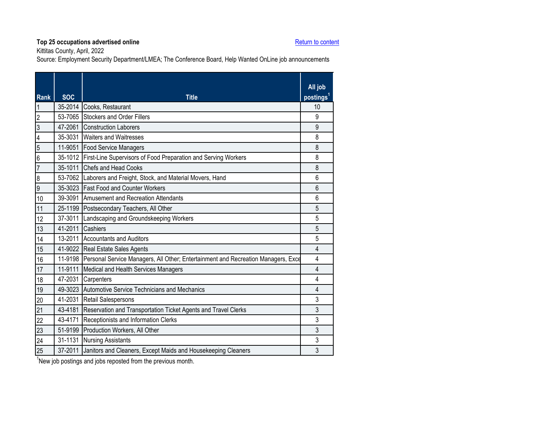Kittitas County, April, 2022

Source: Employment Security Department/LMEA; The Conference Board, Help Wanted OnLine job announcements

<span id="page-20-0"></span>

| <b>Rank</b>    | <b>SOC</b> | <b>Title</b>                                                                              | All job<br>postings <sup>1</sup> |
|----------------|------------|-------------------------------------------------------------------------------------------|----------------------------------|
| 1              |            | 35-2014 Cooks, Restaurant                                                                 | 10                               |
| $\overline{2}$ |            | 53-7065 Stockers and Order Fillers                                                        | 9                                |
| $\overline{3}$ |            | 47-2061 Construction Laborers                                                             | 9                                |
| $\overline{4}$ |            | 35-3031 Waiters and Waitresses                                                            | 8                                |
| $\overline{5}$ |            | 11-9051 Food Service Managers                                                             | 8                                |
| 6              |            | 35-1012 First-Line Supervisors of Food Preparation and Serving Workers                    | 8                                |
| $\overline{7}$ |            | 35-1011 Chefs and Head Cooks                                                              | 8                                |
| 8              |            | 53-7062 Laborers and Freight, Stock, and Material Movers, Hand                            | 6                                |
| 9              |            | 35-3023 Fast Food and Counter Workers                                                     | $6\phantom{1}$                   |
| 10             |            | 39-3091 Amusement and Recreation Attendants                                               | 6                                |
| 11             |            | 25-1199 Postsecondary Teachers, All Other                                                 | 5                                |
| 12             | 37-3011    | Landscaping and Groundskeeping Workers                                                    | 5                                |
| 13             | 41-2011    | Cashiers                                                                                  | 5                                |
| 14             |            | 13-2011 Accountants and Auditors                                                          | 5                                |
| 15             |            | 41-9022 Real Estate Sales Agents                                                          | 4                                |
| 16             |            | 11-9198 Personal Service Managers, All Other; Entertainment and Recreation Managers, Exce | 4                                |
| 17             |            | 11-9111 Medical and Health Services Managers                                              | $\overline{4}$                   |
| 18             | 47-2031    | Carpenters                                                                                | 4                                |
| 19             |            | 49-3023 Automotive Service Technicians and Mechanics                                      | 4                                |
| 20             |            | 41-2031 Retail Salespersons                                                               | 3                                |
| 21             | 43-4181    | Reservation and Transportation Ticket Agents and Travel Clerks                            | 3                                |
| 22             |            | 43-4171 Receptionists and Information Clerks                                              | 3                                |
| 23             |            | 51-9199 Production Workers, All Other                                                     | 3                                |
| 24             |            | 31-1131 Nursing Assistants                                                                | 3                                |
| 25             | 37-2011    | Janitors and Cleaners, Except Maids and Housekeeping Cleaners                             | 3                                |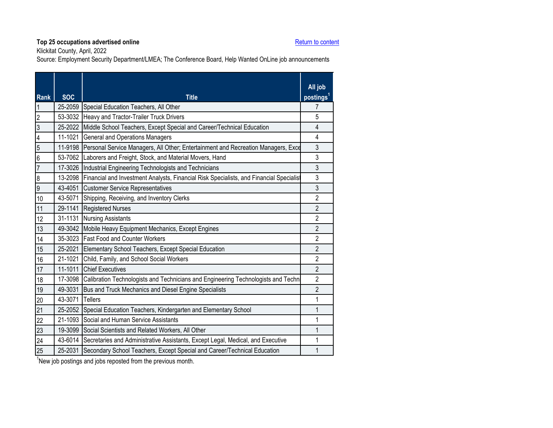Klickitat County, April, 2022

Source: Employment Security Department/LMEA; The Conference Board, Help Wanted OnLine job announcements

<span id="page-21-0"></span>

| 25-2059 Special Education Teachers, All Other<br>7<br>$\overline{\mathbf{1}}$<br>$\overline{2}$<br>53-3032<br>Heavy and Tractor-Trailer Truck Drivers<br>5<br>$\overline{3}$<br>25-2022<br>Middle School Teachers, Except Special and Career/Technical Education<br>$\overline{4}$ |  |
|------------------------------------------------------------------------------------------------------------------------------------------------------------------------------------------------------------------------------------------------------------------------------------|--|
|                                                                                                                                                                                                                                                                                    |  |
|                                                                                                                                                                                                                                                                                    |  |
|                                                                                                                                                                                                                                                                                    |  |
| $\overline{4}$<br>11-1021<br><b>General and Operations Managers</b><br>4                                                                                                                                                                                                           |  |
| 3<br>$\overline{5}$<br>11-9198<br>Personal Service Managers, All Other; Entertainment and Recreation Managers, Exce                                                                                                                                                                |  |
| $\overline{6}$<br>3<br>53-7062 Laborers and Freight, Stock, and Material Movers, Hand                                                                                                                                                                                              |  |
| $\overline{3}$<br>$\overline{7}$<br>17-3026<br>Industrial Engineering Technologists and Technicians                                                                                                                                                                                |  |
| 13-2098<br>3<br>Financial and Investment Analysts, Financial Risk Specialists, and Financial Specialist<br>$\boldsymbol{8}$                                                                                                                                                        |  |
| $\overline{9}$<br>$\mathfrak{Z}$<br>43-4051 Customer Service Representatives                                                                                                                                                                                                       |  |
| 43-5071 Shipping, Receiving, and Inventory Clerks<br>$\overline{2}$<br>10                                                                                                                                                                                                          |  |
| 29-1141<br><b>Registered Nurses</b><br>$\overline{2}$<br>11                                                                                                                                                                                                                        |  |
| $\overline{2}$<br>31-1131 Nursing Assistants<br>12                                                                                                                                                                                                                                 |  |
| $\overline{2}$<br>49-3042 Mobile Heavy Equipment Mechanics, Except Engines<br>13                                                                                                                                                                                                   |  |
| 35-3023 Fast Food and Counter Workers<br>$\overline{2}$<br>14                                                                                                                                                                                                                      |  |
| $\overline{2}$<br>25-2021 Elementary School Teachers, Except Special Education<br>15                                                                                                                                                                                               |  |
| 21-1021<br>$\overline{2}$<br>Child, Family, and School Social Workers<br>16                                                                                                                                                                                                        |  |
| $\overline{2}$<br>11-1011 Chief Executives<br>17                                                                                                                                                                                                                                   |  |
| $\overline{2}$<br>17-3098<br>Calibration Technologists and Technicians and Engineering Technologists and Techn<br>18                                                                                                                                                               |  |
| 49-3031<br>$\overline{2}$<br>Bus and Truck Mechanics and Diesel Engine Specialists<br>19                                                                                                                                                                                           |  |
| 43-3071<br>1<br>20<br><b>Tellers</b>                                                                                                                                                                                                                                               |  |
| 21<br>25-2052 Special Education Teachers, Kindergarten and Elementary School<br>1                                                                                                                                                                                                  |  |
| 21-1093<br>22<br>Social and Human Service Assistants<br>1                                                                                                                                                                                                                          |  |
| 23<br>19-3099<br>Social Scientists and Related Workers, All Other<br>1                                                                                                                                                                                                             |  |
| 24<br>43-6014<br>Secretaries and Administrative Assistants, Except Legal, Medical, and Executive<br>1                                                                                                                                                                              |  |
| 25-2031<br>25<br>Secondary School Teachers, Except Special and Career/Technical Education<br>1                                                                                                                                                                                     |  |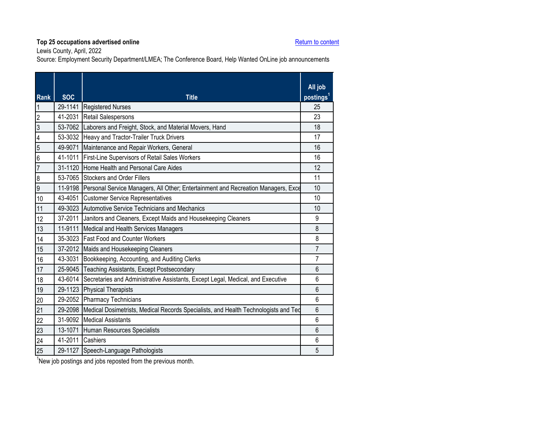Lewis County, April, 2022

Source: Employment Security Department/LMEA; The Conference Board, Help Wanted OnLine job announcements

<span id="page-22-0"></span>

| Rank                    | <b>SOC</b>       | <b>Title</b>                                                                              | All job<br>postings <sup>1</sup> |
|-------------------------|------------------|-------------------------------------------------------------------------------------------|----------------------------------|
| $\overline{1}$          |                  | 29-1141 Registered Nurses                                                                 | 25                               |
| $\overline{2}$          | 41-2031          | <b>Retail Salespersons</b>                                                                | 23                               |
| မ                       | 53-7062          | Laborers and Freight, Stock, and Material Movers, Hand                                    | 18                               |
| $\overline{\mathbf{4}}$ |                  | 53-3032 Heavy and Tractor-Trailer Truck Drivers                                           | 17                               |
| $\overline{5}$          | 49-9071          | Maintenance and Repair Workers, General                                                   | 16                               |
| $\overline{6}$          | 41-1011          | First-Line Supervisors of Retail Sales Workers                                            | 16                               |
| $\overline{7}$          | 31-1120          | Home Health and Personal Care Aides                                                       | 12                               |
| $\boldsymbol{8}$        |                  | 53-7065 Stockers and Order Fillers                                                        | 11                               |
| $\overline{9}$          |                  | 11-9198 Personal Service Managers, All Other; Entertainment and Recreation Managers, Exce | 10                               |
| 10                      |                  | 43-4051 Customer Service Representatives                                                  | 10                               |
| 11                      |                  | 49-3023 Automotive Service Technicians and Mechanics                                      | 10                               |
| 12                      |                  | 37-2011 Janitors and Cleaners, Except Maids and Housekeeping Cleaners                     | 9                                |
| 13                      | 11-9111          | Medical and Health Services Managers                                                      | 8                                |
| 14                      |                  | 35-3023 Fast Food and Counter Workers                                                     | 8                                |
| 15                      |                  | 37-2012 Maids and Housekeeping Cleaners                                                   | $\overline{7}$                   |
| 16                      |                  | 43-3031 Bookkeeping, Accounting, and Auditing Clerks                                      | $\overline{7}$                   |
| 17                      |                  | 25-9045 Teaching Assistants, Except Postsecondary                                         | 6                                |
| 18                      |                  | 43-6014 Secretaries and Administrative Assistants, Except Legal, Medical, and Executive   | 6                                |
| 19                      |                  | 29-1123 Physical Therapists                                                               | $6\phantom{1}$                   |
| 20                      |                  | 29-2052 Pharmacy Technicians                                                              | 6                                |
| 21                      | 29-2098          | Medical Dosimetrists, Medical Records Specialists, and Health Technologists and Ted       | $6\phantom{1}6$                  |
| 22                      |                  | 31-9092 Medical Assistants                                                                | 6                                |
| 23                      | 13-1071          | Human Resources Specialists                                                               | $6\phantom{1}$                   |
| $\overline{24}$         | 41-2011 Cashiers |                                                                                           | 6                                |
| 25                      |                  | 29-1127 Speech-Language Pathologists                                                      | 5                                |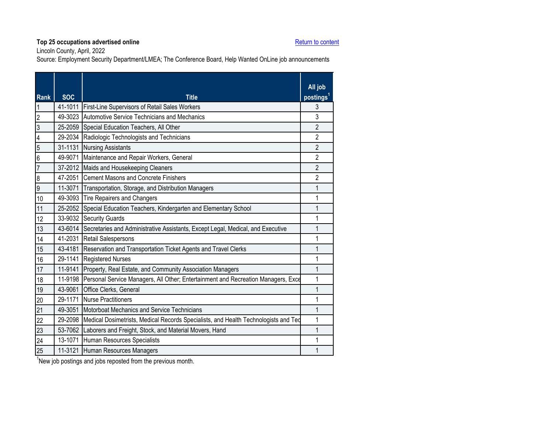Lincoln County, April, 2022

Source: Employment Security Department/LMEA; The Conference Board, Help Wanted OnLine job announcements

<span id="page-23-0"></span>

| <b>Rank</b>             | <b>SOC</b> | <b>Title</b>                                                                        | All job<br>postings <sup>1</sup> |
|-------------------------|------------|-------------------------------------------------------------------------------------|----------------------------------|
|                         | 41-1011    | First-Line Supervisors of Retail Sales Workers                                      | 3                                |
| $\overline{2}$          | 49-3023    | Automotive Service Technicians and Mechanics                                        | 3                                |
| $\overline{3}$          | 25-2059    | Special Education Teachers, All Other                                               | $\overline{2}$                   |
| $\overline{\mathbf{4}}$ | 29-2034    | Radiologic Technologists and Technicians                                            | $\overline{2}$                   |
| $\overline{5}$          | 31-1131    | <b>Nursing Assistants</b>                                                           | $\overline{2}$                   |
| $6\overline{6}$         | 49-9071    | Maintenance and Repair Workers, General                                             | $\overline{2}$                   |
| $\overline{7}$          | 37-2012    | Maids and Housekeeping Cleaners                                                     | $\overline{2}$                   |
| $\boldsymbol{8}$        | 47-2051    | <b>Cement Masons and Concrete Finishers</b>                                         | 2                                |
| $\overline{9}$          | 11-3071    | Transportation, Storage, and Distribution Managers                                  | 1                                |
| 10                      | 49-3093    | <b>Tire Repairers and Changers</b>                                                  | 1                                |
| 11                      | 25-2052    | Special Education Teachers, Kindergarten and Elementary School                      | 1                                |
| 12                      | 33-9032    | <b>Security Guards</b>                                                              | 1                                |
| 13                      | 43-6014    | Secretaries and Administrative Assistants, Except Legal, Medical, and Executive     | 1                                |
| 14                      | 41-2031    | Retail Salespersons                                                                 | 1                                |
| 15                      | 43-4181    | Reservation and Transportation Ticket Agents and Travel Clerks                      |                                  |
| 16                      | 29-1141    | <b>Registered Nurses</b>                                                            | 1                                |
| 17                      | 11-9141    | Property, Real Estate, and Community Association Managers                           | 1                                |
| 18                      | 11-9198    | Personal Service Managers, All Other; Entertainment and Recreation Managers, Exce   | 1                                |
| 19                      | 43-9061    | Office Clerks, General                                                              | 1                                |
| 20                      | 29-1171    | <b>Nurse Practitioners</b>                                                          | 1                                |
| 21                      | 49-3051    | Motorboat Mechanics and Service Technicians                                         | 1                                |
| 22                      | 29-2098    | Medical Dosimetrists, Medical Records Specialists, and Health Technologists and Ted | 1                                |
| 23                      | 53-7062    | Laborers and Freight, Stock, and Material Movers, Hand                              | 1                                |
| 24                      | 13-1071    | Human Resources Specialists                                                         |                                  |
| 25                      | 11-3121    | Human Resources Managers                                                            | 1                                |
|                         |            |                                                                                     |                                  |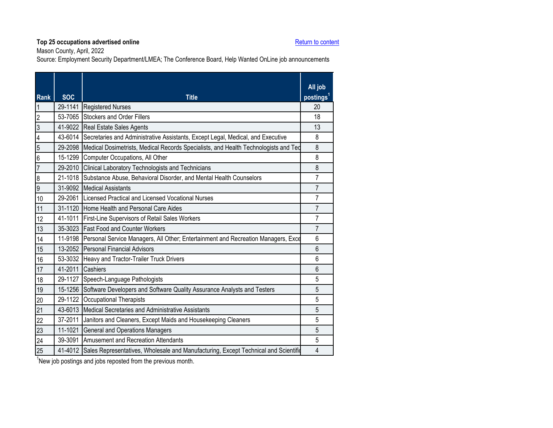Mason County, April, 2022

Source: Employment Security Department/LMEA; The Conference Board, Help Wanted OnLine job announcements

<span id="page-24-0"></span>

| <b>Rank</b>             | <b>SOC</b> | <b>Title</b>                                                                                | All job<br>postings <sup>1</sup> |
|-------------------------|------------|---------------------------------------------------------------------------------------------|----------------------------------|
| $\overline{1}$          |            | 29-1141 Registered Nurses                                                                   | 20                               |
| $\overline{2}$          |            | 53-7065 Stockers and Order Fillers                                                          | 18                               |
| $\overline{3}$          |            | 41-9022 Real Estate Sales Agents                                                            | 13                               |
| $\overline{\mathbf{4}}$ |            | 43-6014 Secretaries and Administrative Assistants, Except Legal, Medical, and Executive     | 8                                |
| $\overline{5}$          |            | 29-2098 Medical Dosimetrists, Medical Records Specialists, and Health Technologists and Ted | 8                                |
| $\overline{6}$          |            | 15-1299 Computer Occupations, All Other                                                     | 8                                |
| $\overline{7}$          |            | 29-2010 Clinical Laboratory Technologists and Technicians                                   | 8                                |
| $\overline{8}$          |            | 21-1018 Substance Abuse, Behavioral Disorder, and Mental Health Counselors                  | $\overline{7}$                   |
| $\overline{9}$          |            | 31-9092 Medical Assistants                                                                  | $\overline{7}$                   |
| 10                      |            | 29-2061 Licensed Practical and Licensed Vocational Nurses                                   | $\overline{7}$                   |
| 11                      |            | 31-1120 Home Health and Personal Care Aides                                                 | $\overline{7}$                   |
| 12                      |            | 41-1011 First-Line Supervisors of Retail Sales Workers                                      | 7                                |
| 13                      |            | 35-3023 Fast Food and Counter Workers                                                       | $\overline{7}$                   |
| 14                      |            | 11-9198 Personal Service Managers, All Other; Entertainment and Recreation Managers, Exce   | 6                                |
| 15                      |            | 13-2052 Personal Financial Advisors                                                         | $6\phantom{1}$                   |
| 16                      |            | 53-3032 Heavy and Tractor-Trailer Truck Drivers                                             | 6                                |
| 17                      |            | 41-2011 Cashiers                                                                            | $6\phantom{1}$                   |
| 18                      |            | 29-1127 Speech-Language Pathologists                                                        | 5                                |
| 19                      |            | 15-1256 Software Developers and Software Quality Assurance Analysts and Testers             | 5                                |
| 20                      |            | 29-1122 Occupational Therapists                                                             | 5                                |
| 21                      |            | 43-6013 Medical Secretaries and Administrative Assistants                                   | 5                                |
| 22                      | 37-2011    | Janitors and Cleaners, Except Maids and Housekeeping Cleaners                               | 5                                |
| 23                      |            | 11-1021 General and Operations Managers                                                     | 5                                |
| 24                      |            | 39-3091 Amusement and Recreation Attendants                                                 | 5                                |
| 25                      |            | 41-4012 Sales Representatives, Wholesale and Manufacturing, Except Technical and Scientific | 4                                |
|                         |            |                                                                                             |                                  |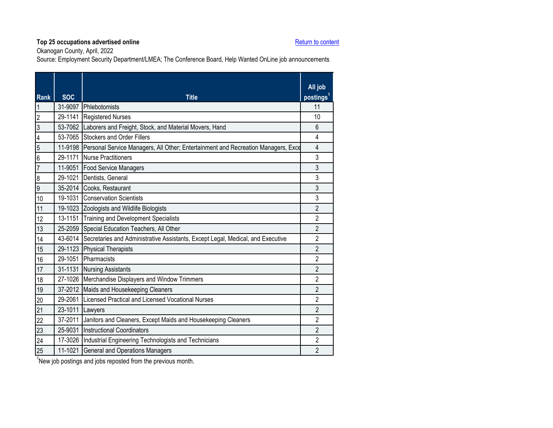Okanogan County, April, 2022

Source: Employment Security Department/LMEA; The Conference Board, Help Wanted OnLine job announcements

<span id="page-25-0"></span>

| 31-9097 Phlebotomists<br>11<br>$\overline{1}$<br>$\overline{2}$<br>29-1141 Registered Nurses<br>10<br>$\overline{3}$<br>53-7062<br>6<br>Laborers and Freight, Stock, and Material Movers, Hand<br>53-7065 Stockers and Order Fillers<br>$\overline{\mathcal{L}}$<br>4<br>$\overline{5}$<br>11-9198 Personal Service Managers, All Other; Entertainment and Recreation Managers, Exce<br>$\overline{4}$<br>$\overline{6}$<br>3<br>29-1171 Nurse Practitioners<br>$\overline{7}$<br>3<br>11-9051 Food Service Managers<br>$\overline{8}$<br>29-1021 Dentists, General<br>3<br>$\overline{9}$<br>3<br>35-2014 Cooks, Restaurant<br>19-1031 Conservation Scientists<br>3<br>10 |
|----------------------------------------------------------------------------------------------------------------------------------------------------------------------------------------------------------------------------------------------------------------------------------------------------------------------------------------------------------------------------------------------------------------------------------------------------------------------------------------------------------------------------------------------------------------------------------------------------------------------------------------------------------------------------|
|                                                                                                                                                                                                                                                                                                                                                                                                                                                                                                                                                                                                                                                                            |
|                                                                                                                                                                                                                                                                                                                                                                                                                                                                                                                                                                                                                                                                            |
|                                                                                                                                                                                                                                                                                                                                                                                                                                                                                                                                                                                                                                                                            |
|                                                                                                                                                                                                                                                                                                                                                                                                                                                                                                                                                                                                                                                                            |
|                                                                                                                                                                                                                                                                                                                                                                                                                                                                                                                                                                                                                                                                            |
|                                                                                                                                                                                                                                                                                                                                                                                                                                                                                                                                                                                                                                                                            |
|                                                                                                                                                                                                                                                                                                                                                                                                                                                                                                                                                                                                                                                                            |
|                                                                                                                                                                                                                                                                                                                                                                                                                                                                                                                                                                                                                                                                            |
|                                                                                                                                                                                                                                                                                                                                                                                                                                                                                                                                                                                                                                                                            |
|                                                                                                                                                                                                                                                                                                                                                                                                                                                                                                                                                                                                                                                                            |
| 19-1023 Zoologists and Wildlife Biologists<br>$\overline{2}$<br>11                                                                                                                                                                                                                                                                                                                                                                                                                                                                                                                                                                                                         |
| $\overline{2}$<br>13-1151<br>12<br><b>Training and Development Specialists</b>                                                                                                                                                                                                                                                                                                                                                                                                                                                                                                                                                                                             |
| 25-2059 Special Education Teachers, All Other<br>$\overline{2}$<br>13                                                                                                                                                                                                                                                                                                                                                                                                                                                                                                                                                                                                      |
| 43-6014 Secretaries and Administrative Assistants, Except Legal, Medical, and Executive<br>$\overline{2}$<br>14                                                                                                                                                                                                                                                                                                                                                                                                                                                                                                                                                            |
| $\overline{2}$<br>29-1123 Physical Therapists<br>15                                                                                                                                                                                                                                                                                                                                                                                                                                                                                                                                                                                                                        |
| 29-1051<br>Pharmacists<br>$\overline{2}$<br>16                                                                                                                                                                                                                                                                                                                                                                                                                                                                                                                                                                                                                             |
| $\overline{2}$<br>31-1131 Nursing Assistants<br>17                                                                                                                                                                                                                                                                                                                                                                                                                                                                                                                                                                                                                         |
| $\overline{2}$<br>27-1026 Merchandise Displayers and Window Trimmers<br>18                                                                                                                                                                                                                                                                                                                                                                                                                                                                                                                                                                                                 |
| $\overline{2}$<br>37-2012 Maids and Housekeeping Cleaners<br>19                                                                                                                                                                                                                                                                                                                                                                                                                                                                                                                                                                                                            |
| 29-2061 Licensed Practical and Licensed Vocational Nurses<br>$\overline{2}$<br>20                                                                                                                                                                                                                                                                                                                                                                                                                                                                                                                                                                                          |
| 21<br>$\overline{2}$<br>23-1011<br>Lawyers                                                                                                                                                                                                                                                                                                                                                                                                                                                                                                                                                                                                                                 |
| $\overline{22}$<br>37-2011<br>$\overline{2}$<br>Janitors and Cleaners, Except Maids and Housekeeping Cleaners                                                                                                                                                                                                                                                                                                                                                                                                                                                                                                                                                              |
| 23<br>25-9031<br>2<br><b>Instructional Coordinators</b>                                                                                                                                                                                                                                                                                                                                                                                                                                                                                                                                                                                                                    |
| $\overline{2}$<br>24<br>17-3026 Industrial Engineering Technologists and Technicians                                                                                                                                                                                                                                                                                                                                                                                                                                                                                                                                                                                       |
| 25<br>$\overline{2}$<br>11-1021<br><b>General and Operations Managers</b>                                                                                                                                                                                                                                                                                                                                                                                                                                                                                                                                                                                                  |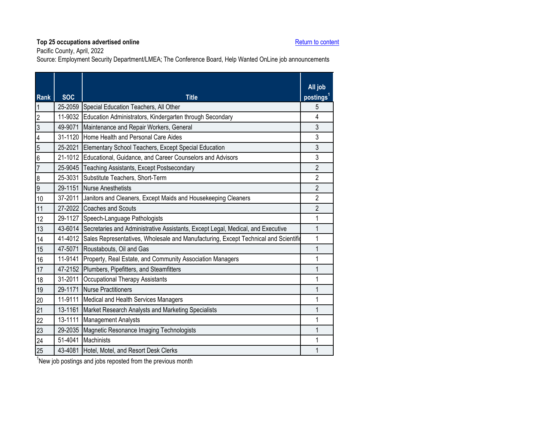Pacific County, April, 2022

Source: Employment Security Department/LMEA; The Conference Board, Help Wanted OnLine job announcements

<span id="page-26-0"></span>

| <b>Rank</b>      | <b>SOC</b> | <b>Title</b>                                                                                | All job<br>postings <sup>1</sup> |
|------------------|------------|---------------------------------------------------------------------------------------------|----------------------------------|
|                  |            | 25-2059 Special Education Teachers, All Other                                               | 5                                |
| $\overline{2}$   |            | 11-9032 Education Administrators, Kindergarten through Secondary                            | 4                                |
| 3                | 49-9071    | Maintenance and Repair Workers, General                                                     | 3                                |
| 4                |            | 31-1120 Home Health and Personal Care Aides                                                 | 3                                |
| 5                |            | 25-2021 Elementary School Teachers, Except Special Education                                | 3                                |
| $6\overline{6}$  |            | 21-1012 Educational, Guidance, and Career Counselors and Advisors                           | 3                                |
| $\overline{7}$   |            | 25-9045 Teaching Assistants, Except Postsecondary                                           | $\overline{2}$                   |
| $\boldsymbol{8}$ |            | 25-3031 Substitute Teachers, Short-Term                                                     | $\overline{2}$                   |
| $\overline{9}$   |            | 29-1151 Nurse Anesthetists                                                                  | $\overline{2}$                   |
| 10               |            | 37-2011 Janitors and Cleaners, Except Maids and Housekeeping Cleaners                       | $\overline{2}$                   |
| 11               |            | 27-2022 Coaches and Scouts                                                                  | 2                                |
| 12               |            | 29-1127 Speech-Language Pathologists                                                        | 1                                |
| 13               |            | 43-6014 Secretaries and Administrative Assistants, Except Legal, Medical, and Executive     | 1                                |
| 14               |            | 41-4012 Sales Representatives, Wholesale and Manufacturing, Except Technical and Scientific | 1                                |
| 15               |            | 47-5071 Roustabouts, Oil and Gas                                                            | 1                                |
| 16               |            | 11-9141 Property, Real Estate, and Community Association Managers                           | 1                                |
| 17               |            | 47-2152 Plumbers, Pipefitters, and Steamfitters                                             | 1                                |
| 18               |            | 31-2011 Occupational Therapy Assistants                                                     | 1                                |
| 19               |            | 29-1171 Nurse Practitioners                                                                 | 1                                |
| 20               |            | 11-9111 Medical and Health Services Managers                                                | 1                                |
| 21               | 13-1161    | Market Research Analysts and Marketing Specialists                                          | 1                                |
| 22               |            | 13-1111 Management Analysts                                                                 | 1                                |
| 23               | 29-2035    | Magnetic Resonance Imaging Technologists                                                    | 1                                |
| 24               | 51-4041    | Machinists                                                                                  | 1                                |
| 25               |            | 43-4081 Hotel, Motel, and Resort Desk Clerks                                                | 1                                |

<sup>1</sup>New job postings and jobs reposted from the previous month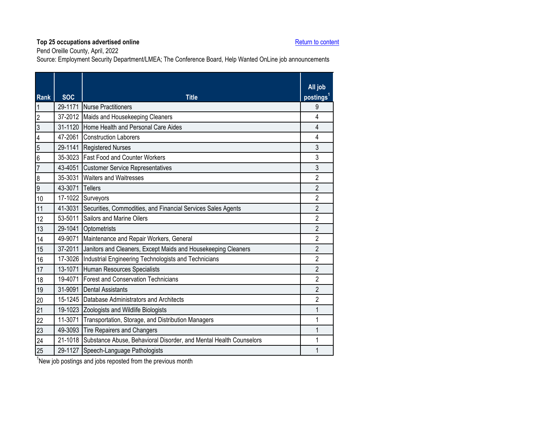Pend Oreille County, April, 2022

Source: Employment Security Department/LMEA; The Conference Board, Help Wanted OnLine job announcements

<span id="page-27-0"></span>

| <b>Rank</b>     | <b>SOC</b> | <b>Title</b>                                                               | All job<br>postings <sup>1</sup> |
|-----------------|------------|----------------------------------------------------------------------------|----------------------------------|
| 1               |            | 29-1171 Nurse Practitioners                                                | 9                                |
| $\overline{c}$  |            | 37-2012 Maids and Housekeeping Cleaners                                    | 4                                |
| $\overline{3}$  |            | 31-1120 Home Health and Personal Care Aides                                | $\overline{4}$                   |
| 4               |            | 47-2061 Construction Laborers                                              | 4                                |
| $\overline{5}$  |            | 29-1141 Registered Nurses                                                  | 3                                |
| 6               |            | 35-3023 Fast Food and Counter Workers                                      | 3                                |
| $\overline{7}$  |            | 43-4051 Customer Service Representatives                                   | 3                                |
| 8               | 35-3031    | <b>Waiters and Waitresses</b>                                              | $\overline{2}$                   |
| $\overline{9}$  | 43-3071    | Tellers                                                                    | $\overline{2}$                   |
| 10              |            | 17-1022 Surveyors                                                          | $\overline{2}$                   |
| 11              | 41-3031    | Securities, Commodities, and Financial Services Sales Agents               | $\overline{2}$                   |
| 12              |            | 53-5011 Sailors and Marine Oilers                                          | $\overline{2}$                   |
| 13              |            | 29-1041 Optometrists                                                       | $\overline{2}$                   |
| 14              | 49-9071    | Maintenance and Repair Workers, General                                    | 2                                |
| 15              | 37-2011    | Janitors and Cleaners, Except Maids and Housekeeping Cleaners              | $\overline{2}$                   |
| 16              |            | 17-3026 Industrial Engineering Technologists and Technicians               | 2                                |
| 17              |            | 13-1071 Human Resources Specialists                                        | $\overline{2}$                   |
| 18              |            | 19-4071 Forest and Conservation Technicians                                | $\overline{2}$                   |
| 19              |            | 31-9091 Dental Assistants                                                  | $\overline{2}$                   |
| 20              |            | 15-1245 Database Administrators and Architects                             | $\overline{2}$                   |
| 21              |            | 19-1023 Zoologists and Wildlife Biologists                                 | 1                                |
| $\overline{22}$ | 11-3071    | Transportation, Storage, and Distribution Managers                         | 1                                |
| 23              |            | 49-3093 Tire Repairers and Changers                                        | 1                                |
| 24              |            | 21-1018 Substance Abuse, Behavioral Disorder, and Mental Health Counselors | 1                                |
| 25              |            | 29-1127 Speech-Language Pathologists                                       | 1                                |
|                 |            |                                                                            |                                  |

<sup>1</sup>New job postings and jobs reposted from the previous month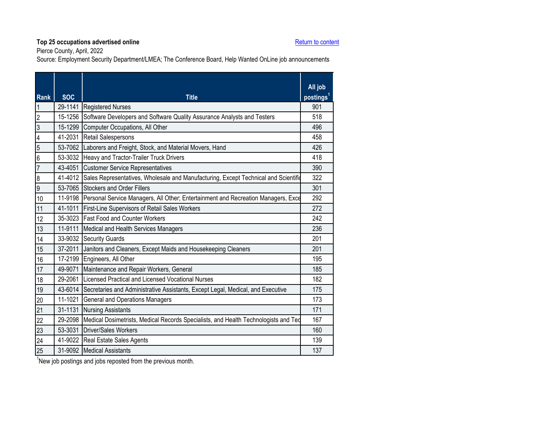Pierce County, April, 2022

Source: Employment Security Department/LMEA; The Conference Board, Help Wanted OnLine job announcements

<span id="page-28-0"></span>

| Rank                    | <b>SOC</b> | <b>Title</b>                                                                                | All job<br>postings <sup>1</sup> |
|-------------------------|------------|---------------------------------------------------------------------------------------------|----------------------------------|
| $\overline{\mathbf{1}}$ |            | 29-1141 Registered Nurses                                                                   | 901                              |
| $\overline{2}$          | 15-1256    | Software Developers and Software Quality Assurance Analysts and Testers                     | 518                              |
| 3                       | 15-1299    | Computer Occupations, All Other                                                             | 496                              |
| $\overline{\mathbf{4}}$ |            | 41-2031 Retail Salespersons                                                                 | 458                              |
| $\overline{5}$          |            | 53-7062 Laborers and Freight, Stock, and Material Movers, Hand                              | 426                              |
| $6\overline{6}$         |            | 53-3032 Heavy and Tractor-Trailer Truck Drivers                                             | 418                              |
| $\overline{7}$          |            | 43-4051 Customer Service Representatives                                                    | 390                              |
| $\overline{8}$          |            | 41-4012 Sales Representatives, Wholesale and Manufacturing, Except Technical and Scientific | 322                              |
| $\overline{9}$          |            | 53-7065 Stockers and Order Fillers                                                          | 301                              |
| 10                      |            | 11-9198 Personal Service Managers, All Other; Entertainment and Recreation Managers, Exce   | 292                              |
| 11                      |            | 41-1011 First-Line Supervisors of Retail Sales Workers                                      | 272                              |
| 12                      |            | 35-3023 Fast Food and Counter Workers                                                       | 242                              |
| 13                      |            | 11-9111 Medical and Health Services Managers                                                | 236                              |
| 14                      |            | 33-9032 Security Guards                                                                     | 201                              |
| 15                      |            | 37-2011 Janitors and Cleaners, Except Maids and Housekeeping Cleaners                       | 201                              |
| 16                      |            | 17-2199 Engineers, All Other                                                                | 195                              |
| 17                      | 49-9071    | Maintenance and Repair Workers, General                                                     | 185                              |
| 18                      |            | 29-2061 Licensed Practical and Licensed Vocational Nurses                                   | 182                              |
| 19                      |            | 43-6014 Secretaries and Administrative Assistants, Except Legal, Medical, and Executive     | 175                              |
| $20\,$                  |            | 11-1021 General and Operations Managers                                                     | 173                              |
| 21                      |            | 31-1131 Nursing Assistants                                                                  | 171                              |
| 22                      |            | 29-2098 Medical Dosimetrists, Medical Records Specialists, and Health Technologists and Ted | 167                              |
| 23                      |            | 53-3031 Driver/Sales Workers                                                                | 160                              |
| 24                      |            | 41-9022 Real Estate Sales Agents                                                            | 139                              |
| 25                      |            | 31-9092 Medical Assistants                                                                  | 137                              |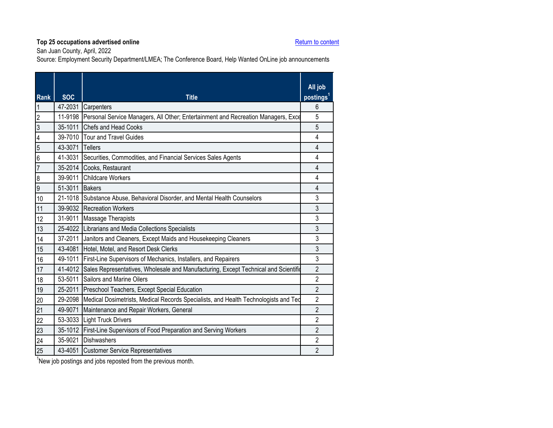San Juan County, April, 2022

Source: Employment Security Department/LMEA; The Conference Board, Help Wanted OnLine job announcements

<span id="page-29-0"></span>

| <b>Rank</b>      | <b>SOC</b>      | <b>Title</b>                                                                                | All job<br>postings <sup>1</sup> |
|------------------|-----------------|---------------------------------------------------------------------------------------------|----------------------------------|
|                  |                 | 47-2031 Carpenters                                                                          | 6                                |
| $\overline{2}$   | 11-9198         | Personal Service Managers, All Other; Entertainment and Recreation Managers, Exce           | 5                                |
| 3                | 35-1011         | <b>Chefs and Head Cooks</b>                                                                 | 5                                |
| 4                |                 | 39-7010 Tour and Travel Guides                                                              | 4                                |
| 5                | 43-3071 Tellers |                                                                                             | 4                                |
| $6\phantom{.}6$  | 41-3031         | Securities, Commodities, and Financial Services Sales Agents                                | 4                                |
| $\overline{7}$   |                 | 35-2014 Cooks, Restaurant                                                                   | 4                                |
| $\boldsymbol{8}$ |                 | 39-9011 Childcare Workers                                                                   | 4                                |
| 9                | 51-3011 Bakers  |                                                                                             | 4                                |
| 10               |                 | 21-1018 Substance Abuse, Behavioral Disorder, and Mental Health Counselors                  | 3                                |
| 11               |                 | 39-9032 Recreation Workers                                                                  | 3                                |
| 12               |                 | 31-9011 Massage Therapists                                                                  | 3                                |
| 13               |                 | 25-4022 Librarians and Media Collections Specialists                                        | 3                                |
| 14               |                 | 37-2011 Janitors and Cleaners, Except Maids and Housekeeping Cleaners                       | 3                                |
| 15               | 43-4081         | Hotel, Motel, and Resort Desk Clerks                                                        | 3                                |
| 16               |                 | 49-1011 First-Line Supervisors of Mechanics, Installers, and Repairers                      | 3                                |
| 17               |                 | 41-4012 Sales Representatives, Wholesale and Manufacturing, Except Technical and Scientific | $\overline{2}$                   |
| 18               |                 | 53-5011 Sailors and Marine Oilers                                                           | $\overline{2}$                   |
| 19               | 25-2011         | Preschool Teachers, Except Special Education                                                | $\overline{2}$                   |
| 20               | 29-2098         | Medical Dosimetrists, Medical Records Specialists, and Health Technologists and Ted         | $\overline{2}$                   |
| 21               | 49-9071         | Maintenance and Repair Workers, General                                                     | $\overline{2}$                   |
| 22               |                 | 53-3033 Light Truck Drivers                                                                 | $\overline{2}$                   |
| 23               | 35-1012         | First-Line Supervisors of Food Preparation and Serving Workers                              | $\overline{2}$                   |
| 24               | 35-9021         | <b>Dishwashers</b>                                                                          | $\overline{2}$                   |
| 25               |                 | 43-4051 Customer Service Representatives                                                    | $\overline{2}$                   |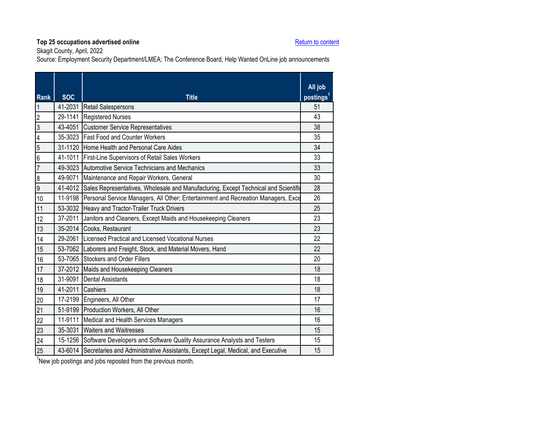Skagit County, April, 2022

Source: Employment Security Department/LMEA; The Conference Board, Help Wanted OnLine job announcements

<span id="page-30-0"></span>

| <b>SOC</b> | <b>Title</b>                                                                    | All job<br>postings <sup>1</sup>                                                                                                                                                                                                                                                                                                                                                                                                                                                                                                                                                                                                                                                                                                                                                                                                                                                                                                                                                                                                            |
|------------|---------------------------------------------------------------------------------|---------------------------------------------------------------------------------------------------------------------------------------------------------------------------------------------------------------------------------------------------------------------------------------------------------------------------------------------------------------------------------------------------------------------------------------------------------------------------------------------------------------------------------------------------------------------------------------------------------------------------------------------------------------------------------------------------------------------------------------------------------------------------------------------------------------------------------------------------------------------------------------------------------------------------------------------------------------------------------------------------------------------------------------------|
|            |                                                                                 | 51                                                                                                                                                                                                                                                                                                                                                                                                                                                                                                                                                                                                                                                                                                                                                                                                                                                                                                                                                                                                                                          |
| 29-1141    |                                                                                 | 43                                                                                                                                                                                                                                                                                                                                                                                                                                                                                                                                                                                                                                                                                                                                                                                                                                                                                                                                                                                                                                          |
| 43-4051    | <b>Customer Service Representatives</b>                                         | 38                                                                                                                                                                                                                                                                                                                                                                                                                                                                                                                                                                                                                                                                                                                                                                                                                                                                                                                                                                                                                                          |
|            |                                                                                 | 35                                                                                                                                                                                                                                                                                                                                                                                                                                                                                                                                                                                                                                                                                                                                                                                                                                                                                                                                                                                                                                          |
|            |                                                                                 | 34                                                                                                                                                                                                                                                                                                                                                                                                                                                                                                                                                                                                                                                                                                                                                                                                                                                                                                                                                                                                                                          |
|            |                                                                                 | 33                                                                                                                                                                                                                                                                                                                                                                                                                                                                                                                                                                                                                                                                                                                                                                                                                                                                                                                                                                                                                                          |
|            |                                                                                 | 33                                                                                                                                                                                                                                                                                                                                                                                                                                                                                                                                                                                                                                                                                                                                                                                                                                                                                                                                                                                                                                          |
| 49-9071    |                                                                                 | 30                                                                                                                                                                                                                                                                                                                                                                                                                                                                                                                                                                                                                                                                                                                                                                                                                                                                                                                                                                                                                                          |
|            |                                                                                 | 28                                                                                                                                                                                                                                                                                                                                                                                                                                                                                                                                                                                                                                                                                                                                                                                                                                                                                                                                                                                                                                          |
|            |                                                                                 | 26                                                                                                                                                                                                                                                                                                                                                                                                                                                                                                                                                                                                                                                                                                                                                                                                                                                                                                                                                                                                                                          |
|            |                                                                                 | 25                                                                                                                                                                                                                                                                                                                                                                                                                                                                                                                                                                                                                                                                                                                                                                                                                                                                                                                                                                                                                                          |
| 37-2011    | Janitors and Cleaners, Except Maids and Housekeeping Cleaners                   | 23                                                                                                                                                                                                                                                                                                                                                                                                                                                                                                                                                                                                                                                                                                                                                                                                                                                                                                                                                                                                                                          |
|            |                                                                                 | 23                                                                                                                                                                                                                                                                                                                                                                                                                                                                                                                                                                                                                                                                                                                                                                                                                                                                                                                                                                                                                                          |
|            |                                                                                 | 22                                                                                                                                                                                                                                                                                                                                                                                                                                                                                                                                                                                                                                                                                                                                                                                                                                                                                                                                                                                                                                          |
|            |                                                                                 | 22                                                                                                                                                                                                                                                                                                                                                                                                                                                                                                                                                                                                                                                                                                                                                                                                                                                                                                                                                                                                                                          |
|            |                                                                                 | 20                                                                                                                                                                                                                                                                                                                                                                                                                                                                                                                                                                                                                                                                                                                                                                                                                                                                                                                                                                                                                                          |
|            |                                                                                 | 18                                                                                                                                                                                                                                                                                                                                                                                                                                                                                                                                                                                                                                                                                                                                                                                                                                                                                                                                                                                                                                          |
| 31-9091    | <b>Dental Assistants</b>                                                        | 18                                                                                                                                                                                                                                                                                                                                                                                                                                                                                                                                                                                                                                                                                                                                                                                                                                                                                                                                                                                                                                          |
|            |                                                                                 | 18                                                                                                                                                                                                                                                                                                                                                                                                                                                                                                                                                                                                                                                                                                                                                                                                                                                                                                                                                                                                                                          |
|            |                                                                                 | 17                                                                                                                                                                                                                                                                                                                                                                                                                                                                                                                                                                                                                                                                                                                                                                                                                                                                                                                                                                                                                                          |
|            |                                                                                 | 16                                                                                                                                                                                                                                                                                                                                                                                                                                                                                                                                                                                                                                                                                                                                                                                                                                                                                                                                                                                                                                          |
| 11-9111    |                                                                                 | 16                                                                                                                                                                                                                                                                                                                                                                                                                                                                                                                                                                                                                                                                                                                                                                                                                                                                                                                                                                                                                                          |
| 35-3031    | <b>Waiters and Waitresses</b>                                                   | 15                                                                                                                                                                                                                                                                                                                                                                                                                                                                                                                                                                                                                                                                                                                                                                                                                                                                                                                                                                                                                                          |
|            |                                                                                 | 15                                                                                                                                                                                                                                                                                                                                                                                                                                                                                                                                                                                                                                                                                                                                                                                                                                                                                                                                                                                                                                          |
|            | Secretaries and Administrative Assistants, Except Legal, Medical, and Executive | 15                                                                                                                                                                                                                                                                                                                                                                                                                                                                                                                                                                                                                                                                                                                                                                                                                                                                                                                                                                                                                                          |
|            |                                                                                 | 41-2031 Retail Salespersons<br><b>Registered Nurses</b><br>35-3023 Fast Food and Counter Workers<br>31-1120 Home Health and Personal Care Aides<br>41-1011 First-Line Supervisors of Retail Sales Workers<br>49-3023 Automotive Service Technicians and Mechanics<br>Maintenance and Repair Workers, General<br>41-4012 Sales Representatives, Wholesale and Manufacturing, Except Technical and Scientific<br>11-9198 Personal Service Managers, All Other; Entertainment and Recreation Managers, Exce<br>53-3032 Heavy and Tractor-Trailer Truck Drivers<br>35-2014 Cooks, Restaurant<br>29-2061 Licensed Practical and Licensed Vocational Nurses<br>53-7062 Laborers and Freight, Stock, and Material Movers, Hand<br>53-7065 Stockers and Order Fillers<br>37-2012 Maids and Housekeeping Cleaners<br>41-2011 Cashiers<br>17-2199 Engineers, All Other<br>51-9199 Production Workers, All Other<br>Medical and Health Services Managers<br>15-1256 Software Developers and Software Quality Assurance Analysts and Testers<br>43-6014 |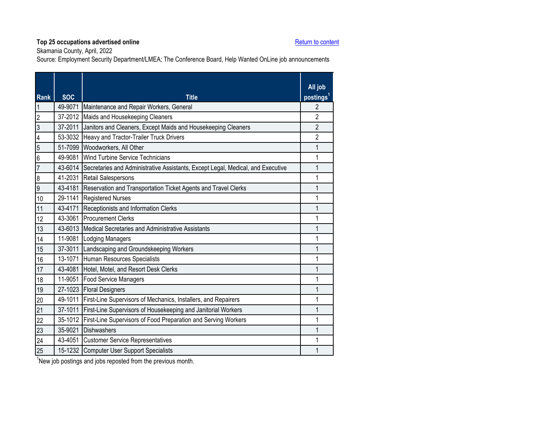Skamania County, April, 2022

Source: Employment Security Department/LMEA; The Conference Board, Help Wanted OnLine job announcements

<span id="page-31-0"></span>

| <b>Rank</b>             | <b>SOC</b> | <b>Title</b>                                                                            | All job<br>postings <sup>1</sup> |
|-------------------------|------------|-----------------------------------------------------------------------------------------|----------------------------------|
| $\mathbf 1$             | 49-9071    | Maintenance and Repair Workers, General                                                 | $\mathfrak{p}$                   |
| $\overline{c}$          | 37-2012    | Maids and Housekeeping Cleaners                                                         | $\overline{2}$                   |
| 3                       | 37-2011    | Janitors and Cleaners, Except Maids and Housekeeping Cleaners                           | $\overline{2}$                   |
| $\overline{\mathbf{4}}$ |            | 53-3032 Heavy and Tractor-Trailer Truck Drivers                                         | $\overline{2}$                   |
| 5                       | 51-7099    | Woodworkers, All Other                                                                  | 1                                |
| $6\phantom{a}$          | 49-9081    | Wind Turbine Service Technicians                                                        | 1                                |
| $\overline{7}$          |            | 43-6014 Secretaries and Administrative Assistants, Except Legal, Medical, and Executive | 1                                |
| $\bf 8$                 | 41-2031    | Retail Salespersons                                                                     | 1                                |
| $\overline{9}$          | 43-4181    | Reservation and Transportation Ticket Agents and Travel Clerks                          | 1                                |
| 10                      | 29-1141    | <b>Registered Nurses</b>                                                                | 1                                |
| 11                      | 43-4171    | Receptionists and Information Clerks                                                    | 1                                |
| 12                      | 43-3061    | <b>Procurement Clerks</b>                                                               | 1                                |
| 13                      |            | 43-6013 Medical Secretaries and Administrative Assistants                               | 1                                |
| 14                      |            | 11-9081 Lodging Managers                                                                | 1                                |
| 15                      | 37-3011    | Landscaping and Groundskeeping Workers                                                  | 1                                |
| 16                      | 13-1071    | Human Resources Specialists                                                             | 1                                |
| 17                      | 43-4081    | Hotel, Motel, and Resort Desk Clerks                                                    | 1                                |
| 18                      | 11-9051    | Food Service Managers                                                                   | 1                                |
| 19                      |            | 27-1023 Floral Designers                                                                | 1                                |
| 20                      | 49-1011    | First-Line Supervisors of Mechanics, Installers, and Repairers                          | 1                                |
| 21                      | 37-1011    | First-Line Supervisors of Housekeeping and Janitorial Workers                           | 1                                |
| 22                      | 35-1012    | First-Line Supervisors of Food Preparation and Serving Workers                          | 1                                |
| 23                      | 35-9021    | <b>Dishwashers</b>                                                                      | 1                                |
| 24                      | 43-4051    | <b>Customer Service Representatives</b>                                                 | 1                                |
| 25                      |            | 15-1232 Computer User Support Specialists                                               | 1                                |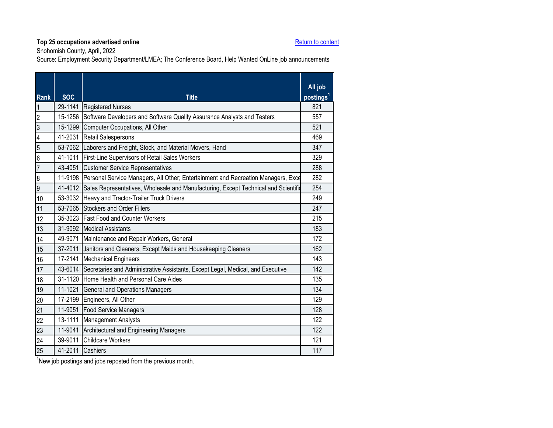Snohomish County, April, 2022

Source: Employment Security Department/LMEA; The Conference Board, Help Wanted OnLine job announcements

<span id="page-32-0"></span>

| <b>Rank</b>             | <b>SOC</b> | <b>Title</b>                                                                                | All job<br>postings <sup>1</sup> |
|-------------------------|------------|---------------------------------------------------------------------------------------------|----------------------------------|
| $\overline{1}$          |            | 29-1141 Registered Nurses                                                                   | 821                              |
| $\overline{2}$          | 15-1256    | Software Developers and Software Quality Assurance Analysts and Testers                     | 557                              |
| $\overline{3}$          | 15-1299    | Computer Occupations, All Other                                                             | 521                              |
| $\overline{\mathbf{4}}$ | 41-2031    | <b>Retail Salespersons</b>                                                                  | 469                              |
| $\overline{5}$          |            | 53-7062 Laborers and Freight, Stock, and Material Movers, Hand                              | 347                              |
| $6\overline{6}$         |            | 41-1011 First-Line Supervisors of Retail Sales Workers                                      | 329                              |
| $\overline{7}$          |            | 43-4051 Customer Service Representatives                                                    | 288                              |
| $\overline{8}$          |            | 11-9198 Personal Service Managers, All Other; Entertainment and Recreation Managers, Exce   | 282                              |
| $\overline{9}$          |            | 41-4012 Sales Representatives, Wholesale and Manufacturing, Except Technical and Scientific | 254                              |
| 10                      |            | 53-3032 Heavy and Tractor-Trailer Truck Drivers                                             | 249                              |
| 11                      |            | 53-7065 Stockers and Order Fillers                                                          | 247                              |
| 12                      |            | 35-3023 Fast Food and Counter Workers                                                       | 215                              |
| 13                      |            | 31-9092 Medical Assistants                                                                  | 183                              |
| 14                      |            | 49-9071 Maintenance and Repair Workers, General                                             | 172                              |
| 15                      | 37-2011    | Janitors and Cleaners, Except Maids and Housekeeping Cleaners                               | 162                              |
| 16                      |            | 17-2141 Mechanical Engineers                                                                | 143                              |
| 17                      |            | 43-6014 Secretaries and Administrative Assistants, Except Legal, Medical, and Executive     | 142                              |
| 18                      |            | 31-1120 Home Health and Personal Care Aides                                                 | 135                              |
| 19                      |            | 11-1021 General and Operations Managers                                                     | 134                              |
| 20                      |            | 17-2199 Engineers, All Other                                                                | 129                              |
| 21                      | 11-9051    | <b>Food Service Managers</b>                                                                | 128                              |
| 22                      |            | 13-1111 Management Analysts                                                                 | 122                              |
| 23                      | 11-9041    | Architectural and Engineering Managers                                                      | 122                              |
| 24                      |            | 39-9011 Childcare Workers                                                                   | 121                              |
| 25                      |            | 41-2011 Cashiers                                                                            | 117                              |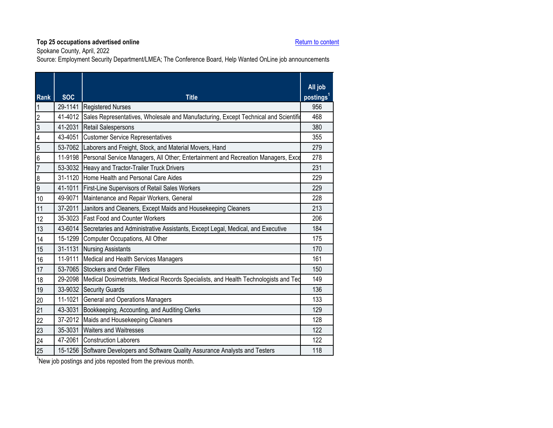Spokane County, April, 2022

Source: Employment Security Department/LMEA; The Conference Board, Help Wanted OnLine job announcements

<span id="page-33-0"></span>

| <b>Rank</b>             | <b>SOC</b> | <b>Title</b>                                                                                | All job<br>postings <sup>1</sup> |
|-------------------------|------------|---------------------------------------------------------------------------------------------|----------------------------------|
| $\overline{\mathbf{1}}$ |            | 29-1141 Registered Nurses                                                                   | 956                              |
| $\overline{c}$          | 41-4012    | Sales Representatives, Wholesale and Manufacturing, Except Technical and Scientific         | 468                              |
| $\overline{3}$          | 41-2031    | <b>Retail Salespersons</b>                                                                  | 380                              |
| $\overline{\mathbf{4}}$ | 43-4051    | <b>Customer Service Representatives</b>                                                     | 355                              |
| 5                       |            | 53-7062 Laborers and Freight, Stock, and Material Movers, Hand                              | 279                              |
| $6\overline{6}$         |            | 11-9198 Personal Service Managers, All Other; Entertainment and Recreation Managers, Exce   | 278                              |
| $\overline{7}$          |            | 53-3032 Heavy and Tractor-Trailer Truck Drivers                                             | 231                              |
| $\overline{8}$          | 31-1120    | Home Health and Personal Care Aides                                                         | 229                              |
| $\overline{9}$          |            | 41-1011 First-Line Supervisors of Retail Sales Workers                                      | 229                              |
| 10                      |            | 49-9071 Maintenance and Repair Workers, General                                             | 228                              |
| 11                      | 37-2011    | Janitors and Cleaners, Except Maids and Housekeeping Cleaners                               | 213                              |
| 12                      |            | 35-3023 Fast Food and Counter Workers                                                       | 206                              |
| 13                      |            | 43-6014 Secretaries and Administrative Assistants, Except Legal, Medical, and Executive     | 184                              |
| 14                      |            | 15-1299 Computer Occupations, All Other                                                     | 175                              |
| 15                      |            | 31-1131 Nursing Assistants                                                                  | 170                              |
| 16                      | 11-9111    | Medical and Health Services Managers                                                        | 161                              |
| 17                      | 53-7065    | Stockers and Order Fillers                                                                  | 150                              |
| 18                      |            | 29-2098 Medical Dosimetrists, Medical Records Specialists, and Health Technologists and Ted | 149                              |
| 19                      | 33-9032    | <b>Security Guards</b>                                                                      | 136                              |
| 20                      |            | 11-1021 General and Operations Managers                                                     | 133                              |
| 21                      | 43-3031    | Bookkeeping, Accounting, and Auditing Clerks                                                | 129                              |
| 22                      |            | 37-2012 Maids and Housekeeping Cleaners                                                     | 128                              |
| 23                      | 35-3031    | <b>Waiters and Waitresses</b>                                                               | 122                              |
| 24                      | 47-2061    | <b>Construction Laborers</b>                                                                | 122                              |
| 25                      | 15-1256    | Software Developers and Software Quality Assurance Analysts and Testers                     | 118                              |
|                         |            |                                                                                             |                                  |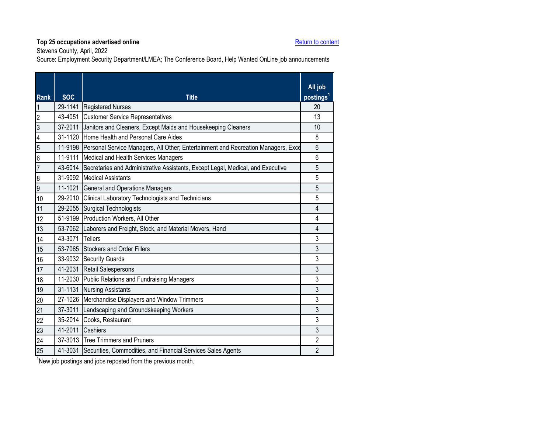Stevens County, April, 2022

Source: Employment Security Department/LMEA; The Conference Board, Help Wanted OnLine job announcements

<span id="page-34-0"></span>

| <b>Rank</b>              | <b>SOC</b>      | <b>Title</b>                                                                            | All job<br>postings <sup>1</sup> |
|--------------------------|-----------------|-----------------------------------------------------------------------------------------|----------------------------------|
| $\overline{1}$           |                 | 29-1141 Registered Nurses                                                               | 20                               |
| $\overline{2}$           |                 | 43-4051 Customer Service Representatives                                                | 13                               |
| $\overline{3}$           | 37-2011         | Janitors and Cleaners, Except Maids and Housekeeping Cleaners                           | 10                               |
| $\overline{\mathcal{L}}$ | 31-1120         | Home Health and Personal Care Aides                                                     | 8                                |
| $\overline{5}$           | 11-9198         | Personal Service Managers, All Other; Entertainment and Recreation Managers, Exce       | $6\phantom{1}6$                  |
| $\overline{6}$           | 11-9111         | Medical and Health Services Managers                                                    | 6                                |
| $\overline{7}$           |                 | 43-6014 Secretaries and Administrative Assistants, Except Legal, Medical, and Executive | 5                                |
| $\overline{8}$           |                 | 31-9092 Medical Assistants                                                              | 5                                |
| 6                        |                 | 11-1021 General and Operations Managers                                                 | 5                                |
| 10                       |                 | 29-2010 Clinical Laboratory Technologists and Technicians                               | 5                                |
| 11                       |                 | 29-2055 Surgical Technologists                                                          | 4                                |
| 12                       |                 | 51-9199 Production Workers, All Other                                                   | $\overline{4}$                   |
| 13                       |                 | 53-7062 Laborers and Freight, Stock, and Material Movers, Hand                          | 4                                |
| 14                       | 43-3071 Tellers |                                                                                         | 3                                |
| 15                       |                 | 53-7065 Stockers and Order Fillers                                                      | 3                                |
| 16                       |                 | 33-9032 Security Guards                                                                 | 3                                |
| 17                       |                 | 41-2031 Retail Salespersons                                                             | 3                                |
| 18                       | 11-2030         | Public Relations and Fundraising Managers                                               | 3                                |
| 19                       | 31-1131         | <b>Nursing Assistants</b>                                                               | 3                                |
| 20                       |                 | 27-1026 Merchandise Displayers and Window Trimmers                                      | 3                                |
| 21                       | 37-3011         | Landscaping and Groundskeeping Workers                                                  | 3                                |
| 22                       |                 | 35-2014 Cooks, Restaurant                                                               | 3                                |
| 23                       |                 | 41-2011 Cashiers                                                                        | 3                                |
| 24                       |                 | 37-3013 Tree Trimmers and Pruners                                                       | $\overline{2}$                   |
| 25                       | 41-3031         | Securities, Commodities, and Financial Services Sales Agents                            | $\overline{2}$                   |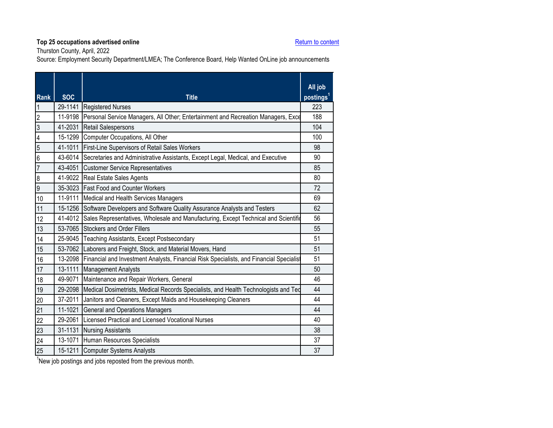Thurston County, April, 2022

Source: Employment Security Department/LMEA; The Conference Board, Help Wanted OnLine job announcements

<span id="page-35-0"></span>

| Rank                    | <b>SOC</b> | <b>Title</b>                                                                                    | All job<br>postings <sup>1</sup> |
|-------------------------|------------|-------------------------------------------------------------------------------------------------|----------------------------------|
| $\mathbf 1$             |            | 29-1141 Registered Nurses                                                                       | 223                              |
| $\overline{2}$          | 11-9198    | Personal Service Managers, All Other; Entertainment and Recreation Managers, Exce               | 188                              |
| $\overline{3}$          | 41-2031    | <b>Retail Salespersons</b>                                                                      | 104                              |
| $\overline{\mathbf{4}}$ | 15-1299    | Computer Occupations, All Other                                                                 | 100                              |
| $\overline{5}$          | 41-1011    | First-Line Supervisors of Retail Sales Workers                                                  | 98                               |
| $6\overline{6}$         | 43-6014    | Secretaries and Administrative Assistants, Except Legal, Medical, and Executive                 | 90                               |
| $\overline{7}$          |            | 43-4051 Customer Service Representatives                                                        | 85                               |
| $\boldsymbol{8}$        |            | 41-9022 Real Estate Sales Agents                                                                | 80                               |
| $\overline{9}$          |            | 35-3023 Fast Food and Counter Workers                                                           | 72                               |
| 10                      |            | 11-9111 Medical and Health Services Managers                                                    | 69                               |
| 11                      |            | 15-1256 Software Developers and Software Quality Assurance Analysts and Testers                 | 62                               |
| 12                      |            | 41-4012 Sales Representatives, Wholesale and Manufacturing, Except Technical and Scientific     | 56                               |
| 13                      |            | 53-7065 Stockers and Order Fillers                                                              | 55                               |
| 14                      |            | 25-9045 Teaching Assistants, Except Postsecondary                                               | 51                               |
| 15                      |            | 53-7062 Laborers and Freight, Stock, and Material Movers, Hand                                  | 51                               |
| 16                      |            | 13-2098 Financial and Investment Analysts, Financial Risk Specialists, and Financial Specialist | 51                               |
| 17                      | 13-1111    | <b>Management Analysts</b>                                                                      | 50                               |
| 18                      | 49-9071    | Maintenance and Repair Workers, General                                                         | 46                               |
| 19                      |            | 29-2098 Medical Dosimetrists, Medical Records Specialists, and Health Technologists and Ted     | 44                               |
| 20                      | 37-2011    | Janitors and Cleaners, Except Maids and Housekeeping Cleaners                                   | 44                               |
| 21                      | 11-1021    | General and Operations Managers                                                                 | 44                               |
| 22                      | 29-2061    | Licensed Practical and Licensed Vocational Nurses                                               | 40                               |
| 23                      | 31-1131    | <b>Nursing Assistants</b>                                                                       | 38                               |
| 24                      |            | 13-1071 Human Resources Specialists                                                             | 37                               |
| 25                      |            | 15-1211 Computer Systems Analysts                                                               | 37                               |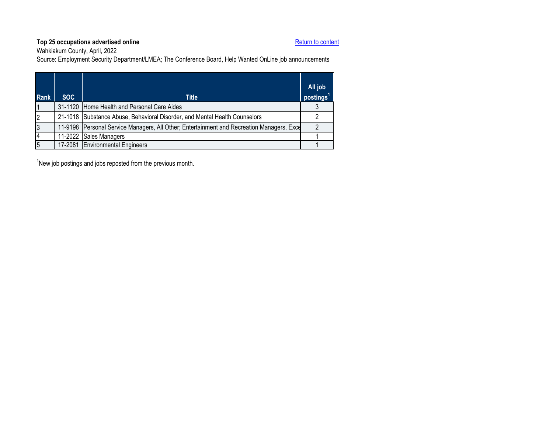Wahkiakum County, April, 2022

Source: Employment Security Department/LMEA; The Conference Board, Help Wanted OnLine job announcements

<span id="page-36-0"></span>

| <b>Rank</b> | SOC. | <b>Title</b>                                                                              | All job<br>postings <sup>1</sup> |
|-------------|------|-------------------------------------------------------------------------------------------|----------------------------------|
|             |      | 31-1120 Home Health and Personal Care Aides                                               |                                  |
| 2           |      | 21-1018 Substance Abuse, Behavioral Disorder, and Mental Health Counselors                |                                  |
| 3           |      | 11-9198 Personal Service Managers, All Other; Entertainment and Recreation Managers, Exce |                                  |
| 4           |      | 11-2022 Sales Managers                                                                    |                                  |
| 5           |      | 17-2081 Environmental Engineers                                                           |                                  |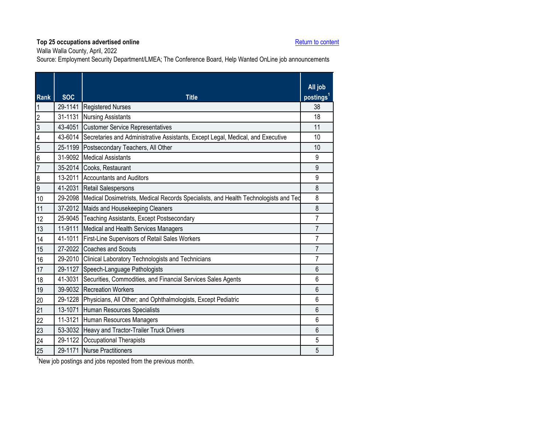Walla Walla County, April, 2022

Source: Employment Security Department/LMEA; The Conference Board, Help Wanted OnLine job announcements

<span id="page-37-0"></span>

| Rank                    | <b>SOC</b> | <b>Title</b>                                                                                | All job<br>postings <sup>1</sup> |
|-------------------------|------------|---------------------------------------------------------------------------------------------|----------------------------------|
| $\overline{1}$          |            | 29-1141 Registered Nurses                                                                   | 38                               |
| $\overline{2}$          | 31-1131    | <b>Nursing Assistants</b>                                                                   | 18                               |
| 3                       | 43-4051    | <b>Customer Service Representatives</b>                                                     | 11                               |
| $\overline{\mathbf{4}}$ |            | 43-6014 Secretaries and Administrative Assistants, Except Legal, Medical, and Executive     | 10                               |
| $\overline{5}$          |            | 25-1199 Postsecondary Teachers, All Other                                                   | 10                               |
| $6\overline{6}$         |            | 31-9092 Medical Assistants                                                                  | 9                                |
| $\overline{7}$          |            | 35-2014 Cooks, Restaurant                                                                   | 9                                |
| $\boldsymbol{8}$        |            | 13-2011 Accountants and Auditors                                                            | 9                                |
| 9                       |            | 41-2031 Retail Salespersons                                                                 | 8                                |
| 10                      |            | 29-2098 Medical Dosimetrists, Medical Records Specialists, and Health Technologists and Ted | 8                                |
| 11                      |            | 37-2012 Maids and Housekeeping Cleaners                                                     | 8                                |
| 12                      |            | 25-9045 Teaching Assistants, Except Postsecondary                                           | 7                                |
| 13                      |            | 11-9111 Medical and Health Services Managers                                                | $\overline{7}$                   |
| 14                      |            | 41-1011 First-Line Supervisors of Retail Sales Workers                                      | $\overline{7}$                   |
| 15                      |            | 27-2022 Coaches and Scouts                                                                  | $\overline{7}$                   |
| 16                      |            | 29-2010 Clinical Laboratory Technologists and Technicians                                   | $\overline{7}$                   |
| 17                      |            | 29-1127 Speech-Language Pathologists                                                        | $6\phantom{1}$                   |
| 18                      |            | 41-3031 Securities, Commodities, and Financial Services Sales Agents                        | 6                                |
| 19                      |            | 39-9032 Recreation Workers                                                                  | $6\phantom{1}$                   |
| 20                      |            | 29-1228 Physicians, All Other; and Ophthalmologists, Except Pediatric                       | 6                                |
| 21                      |            | 13-1071 Human Resources Specialists                                                         | $6\phantom{1}6$                  |
| 22                      |            | 11-3121 Human Resources Managers                                                            | 6                                |
| 23                      |            | 53-3032 Heavy and Tractor-Trailer Truck Drivers                                             | $6\phantom{1}$                   |
| 24                      |            | 29-1122 Occupational Therapists                                                             | 5                                |
| 25                      |            | 29-1171 Nurse Practitioners                                                                 | 5                                |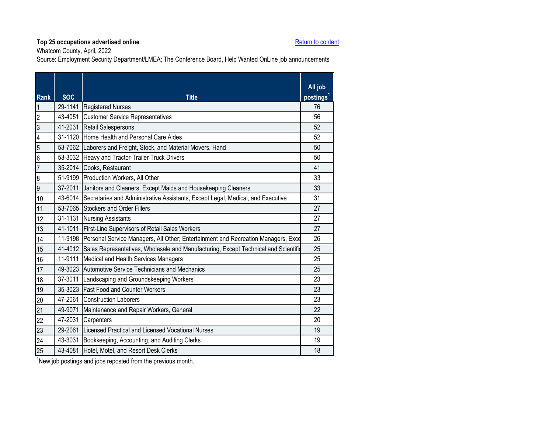Whatcom County, April, 2022

Source: Employment Security Department/LMEA; The Conference Board, Help Wanted OnLine job announcements

<span id="page-38-0"></span>

| <b>Rank</b>             | <b>SOC</b> | <b>Title</b>                                                                              | All job<br>postings <sup>1</sup> |
|-------------------------|------------|-------------------------------------------------------------------------------------------|----------------------------------|
| $\mathbf 1$             |            | 29-1141 Registered Nurses                                                                 | 76                               |
| $\overline{2}$          | 43-4051    | <b>Customer Service Representatives</b>                                                   | 56                               |
| $\overline{3}$          | 41-2031    | <b>Retail Salespersons</b>                                                                | 52                               |
| $\overline{\mathbf{4}}$ |            | 31-1120 Home Health and Personal Care Aides                                               | 52                               |
| $\overline{5}$          |            | 53-7062 Laborers and Freight, Stock, and Material Movers, Hand                            | 50                               |
| $6\overline{6}$         |            | 53-3032 Heavy and Tractor-Trailer Truck Drivers                                           | 50                               |
| $\overline{7}$          |            | 35-2014 Cooks, Restaurant                                                                 | 41                               |
| $\boldsymbol{8}$        |            | 51-9199 Production Workers, All Other                                                     | 33                               |
| $\overline{9}$          |            | 37-2011 Janitors and Cleaners, Except Maids and Housekeeping Cleaners                     | 33                               |
| 10                      |            | 43-6014 Secretaries and Administrative Assistants, Except Legal, Medical, and Executive   | 31                               |
| 11                      |            | 53-7065 Stockers and Order Fillers                                                        | 27                               |
| 12                      |            | 31-1131 Nursing Assistants                                                                | 27                               |
| 13                      | 41-1011    | First-Line Supervisors of Retail Sales Workers                                            | 27                               |
| 14                      |            | 11-9198 Personal Service Managers, All Other; Entertainment and Recreation Managers, Exce | 26                               |
| 15                      | 41-4012    | Sales Representatives, Wholesale and Manufacturing, Except Technical and Scientific       | 25                               |
| 16                      | 11-9111    | Medical and Health Services Managers                                                      | 25                               |
| 17                      |            | 49-3023 Automotive Service Technicians and Mechanics                                      | 25                               |
| 18                      | 37-3011    | Landscaping and Groundskeeping Workers                                                    | 23                               |
| 19                      |            | 35-3023 Fast Food and Counter Workers                                                     | 23                               |
| 20                      | 47-2061    | <b>Construction Laborers</b>                                                              | 23                               |
| 21                      | 49-9071    | Maintenance and Repair Workers, General                                                   | 22                               |
| 22                      | 47-2031    | Carpenters                                                                                | 20                               |
| 23                      | 29-2061    | Licensed Practical and Licensed Vocational Nurses                                         | 19                               |
| 24                      | 43-3031    | Bookkeeping, Accounting, and Auditing Clerks                                              | 19                               |
| 25                      | 43-4081    | Hotel, Motel, and Resort Desk Clerks                                                      | 18                               |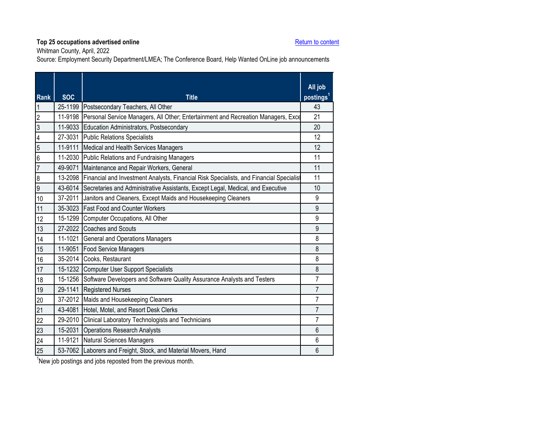Whitman County, April, 2022

Source: Employment Security Department/LMEA; The Conference Board, Help Wanted OnLine job announcements

<span id="page-39-0"></span>

| <b>Rank</b>    | <b>SOC</b> | <b>Title</b>                                                                                    | All job<br>postings <sup>1</sup> |
|----------------|------------|-------------------------------------------------------------------------------------------------|----------------------------------|
| 1              |            | 25-1199 Postsecondary Teachers, All Other                                                       | 43                               |
| $\overline{2}$ | 11-9198    | Personal Service Managers, All Other; Entertainment and Recreation Managers, Exce               | 21                               |
| $\overline{3}$ |            | 11-9033 Education Administrators, Postsecondary                                                 | 20                               |
| $\overline{4}$ |            | 27-3031 Public Relations Specialists                                                            | 12                               |
| $\overline{5}$ |            | 11-9111 Medical and Health Services Managers                                                    | 12                               |
| 6              |            | 11-2030 Public Relations and Fundraising Managers                                               | 11                               |
| $\overline{7}$ |            | 49-9071 Maintenance and Repair Workers, General                                                 | 11                               |
| 8              |            | 13-2098 Financial and Investment Analysts, Financial Risk Specialists, and Financial Specialist | 11                               |
| 9              |            | 43-6014 Secretaries and Administrative Assistants, Except Legal, Medical, and Executive         | 10                               |
| 10             |            | 37-2011 Janitors and Cleaners, Except Maids and Housekeeping Cleaners                           | 9                                |
| 11             |            | 35-3023 Fast Food and Counter Workers                                                           | 9                                |
| 12             |            | 15-1299 Computer Occupations, All Other                                                         | 9                                |
| 13             |            | 27-2022 Coaches and Scouts                                                                      | 9                                |
| 14             |            | 11-1021 General and Operations Managers                                                         | 8                                |
| 15             |            | 11-9051 Food Service Managers                                                                   | 8                                |
| 16             |            | 35-2014 Cooks, Restaurant                                                                       | 8                                |
| 17             |            | 15-1232 Computer User Support Specialists                                                       | 8                                |
| 18             |            | 15-1256 Software Developers and Software Quality Assurance Analysts and Testers                 | $\overline{7}$                   |
| 19             |            | 29-1141 Registered Nurses                                                                       | $\overline{7}$                   |
| 20             |            | 37-2012 Maids and Housekeeping Cleaners                                                         | $\overline{7}$                   |
| 21             | 43-4081    | Hotel, Motel, and Resort Desk Clerks                                                            | $\overline{7}$                   |
| 22             |            | 29-2010 Clinical Laboratory Technologists and Technicians                                       | $\overline{7}$                   |
| 23             | 15-2031    | <b>Operations Research Analysts</b>                                                             | 6                                |
| 24             | 11-9121    | Natural Sciences Managers                                                                       | 6                                |
| 25             |            | 53-7062 Laborers and Freight, Stock, and Material Movers, Hand                                  | 6                                |